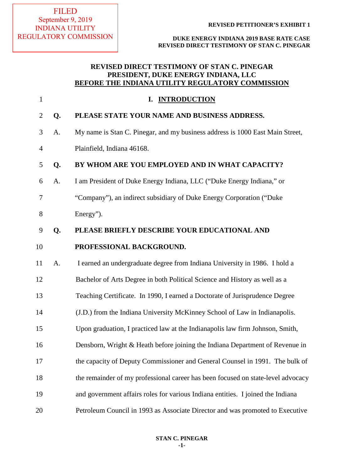**DUKE ENERGY INDIANA 2019 BASE RATE CASE REVISED DIRECT TESTIMONY OF STAN C. PINEGAR**

# **REVISED DIRECT TESTIMONY OF STAN C. PINEGAR PRESIDENT, DUKE ENERGY INDIANA, LLC BEFORE THE INDIANA UTILITY REGULATORY COMMISSION**

| $\mathbf{1}$   |    | <b>INTRODUCTION</b><br>I.                                                        |
|----------------|----|----------------------------------------------------------------------------------|
| $\overline{2}$ | Q. | PLEASE STATE YOUR NAME AND BUSINESS ADDRESS.                                     |
| 3              | A. | My name is Stan C. Pinegar, and my business address is 1000 East Main Street,    |
| $\overline{4}$ |    | Plainfield, Indiana 46168.                                                       |
| 5              | Q. | BY WHOM ARE YOU EMPLOYED AND IN WHAT CAPACITY?                                   |
| 6              | A. | I am President of Duke Energy Indiana, LLC ("Duke Energy Indiana," or            |
| 7              |    | "Company"), an indirect subsidiary of Duke Energy Corporation ("Duke             |
| 8              |    | Energy").                                                                        |
| 9              | Q. | PLEASE BRIEFLY DESCRIBE YOUR EDUCATIONAL AND                                     |
| 10             |    | PROFESSIONAL BACKGROUND.                                                         |
| 11             | A. | I earned an undergraduate degree from Indiana University in 1986. I hold a       |
| 12             |    | Bachelor of Arts Degree in both Political Science and History as well as a       |
| 13             |    | Teaching Certificate. In 1990, I earned a Doctorate of Jurisprudence Degree      |
| 14             |    | (J.D.) from the Indiana University McKinney School of Law in Indianapolis.       |
| 15             |    | Upon graduation, I practiced law at the Indianapolis law firm Johnson, Smith,    |
| 16             |    | Densborn, Wright & Heath before joining the Indiana Department of Revenue in     |
| 17             |    | the capacity of Deputy Commissioner and General Counsel in 1991. The bulk of     |
| 18             |    | the remainder of my professional career has been focused on state-level advocacy |
| 19             |    | and government affairs roles for various Indiana entities. I joined the Indiana  |
| 20             |    | Petroleum Council in 1993 as Associate Director and was promoted to Executive    |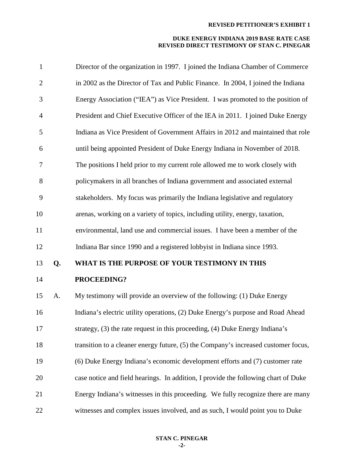| $\mathbf{1}$   |    | Director of the organization in 1997. I joined the Indiana Chamber of Commerce     |
|----------------|----|------------------------------------------------------------------------------------|
| $\overline{2}$ |    | in 2002 as the Director of Tax and Public Finance. In 2004, I joined the Indiana   |
| 3              |    | Energy Association ("IEA") as Vice President. I was promoted to the position of    |
| $\overline{4}$ |    | President and Chief Executive Officer of the IEA in 2011. I joined Duke Energy     |
| 5              |    | Indiana as Vice President of Government Affairs in 2012 and maintained that role   |
| 6              |    | until being appointed President of Duke Energy Indiana in November of 2018.        |
| $\tau$         |    | The positions I held prior to my current role allowed me to work closely with      |
| 8              |    | policymakers in all branches of Indiana government and associated external         |
| 9              |    | stakeholders. My focus was primarily the Indiana legislative and regulatory        |
| 10             |    | arenas, working on a variety of topics, including utility, energy, taxation,       |
| 11             |    | environmental, land use and commercial issues. I have been a member of the         |
| 12             |    | Indiana Bar since 1990 and a registered lobbyist in Indiana since 1993.            |
| 13             | Q. | WHAT IS THE PURPOSE OF YOUR TESTIMONY IN THIS                                      |
| 14             |    | PROCEEDING?                                                                        |
| 15             | A. | My testimony will provide an overview of the following: (1) Duke Energy            |
| 16             |    | Indiana's electric utility operations, (2) Duke Energy's purpose and Road Ahead    |
| 17             |    | strategy, (3) the rate request in this proceeding, (4) Duke Energy Indiana's       |
| 18             |    | transition to a cleaner energy future, (5) the Company's increased customer focus, |
| 19             |    | (6) Duke Energy Indiana's economic development efforts and (7) customer rate       |
| 20             |    | case notice and field hearings. In addition, I provide the following chart of Duke |
| 21             |    | Energy Indiana's witnesses in this proceeding. We fully recognize there are many   |
| 22             |    | witnesses and complex issues involved, and as such, I would point you to Duke      |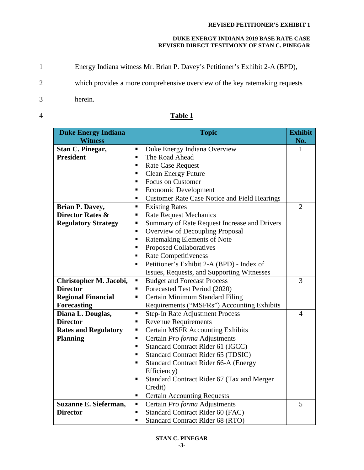## **DUKE ENERGY INDIANA 2019 BASE RATE CASE REVISED DIRECT TESTIMONY OF STAN C. PINEGAR**

- 1 Energy Indiana witness Mr. Brian P. Davey's Petitioner's Exhibit 2-A (BPD),
- 2 which provides a more comprehensive overview of the key ratemaking requests
- 3 herein.
- 

| <b>Duke Energy Indiana</b>  | <b>Topic</b>                                                          | <b>Exhibit</b> |
|-----------------------------|-----------------------------------------------------------------------|----------------|
| <b>Witness</b>              |                                                                       | No.            |
| Stan C. Pinegar,            | Duke Energy Indiana Overview<br>٠                                     | 1              |
| <b>President</b>            | The Road Ahead<br>٠                                                   |                |
|                             | <b>Rate Case Request</b><br>٠                                         |                |
|                             | <b>Clean Energy Future</b><br>п                                       |                |
|                             | <b>Focus on Customer</b><br>٠                                         |                |
|                             | <b>Economic Development</b><br>п                                      |                |
|                             | <b>Customer Rate Case Notice and Field Hearings</b><br>$\blacksquare$ |                |
| Brian P. Davey,             | <b>Existing Rates</b><br>$\blacksquare$                               | $\overline{2}$ |
| <b>Director Rates &amp;</b> | <b>Rate Request Mechanics</b><br>٠                                    |                |
| <b>Regulatory Strategy</b>  | Summary of Rate Request Increase and Drivers<br>п                     |                |
|                             | Overview of Decoupling Proposal<br>п                                  |                |
|                             | Ratemaking Elements of Note<br>п                                      |                |
|                             | Proposed Collaboratives<br>٠                                          |                |
|                             | <b>Rate Competitiveness</b><br>٠                                      |                |
|                             | Petitioner's Exhibit 2-A (BPD) - Index of<br>$\blacksquare$           |                |
|                             | Issues, Requests, and Supporting Witnesses                            |                |
| Christopher M. Jacobi,      | <b>Budget and Forecast Process</b><br>п                               | 3              |
| <b>Director</b>             | Forecasted Test Period (2020)<br>٠                                    |                |
| <b>Regional Financial</b>   | Certain Minimum Standard Filing<br>п                                  |                |
| <b>Forecasting</b>          | Requirements ("MSFRs") Accounting Exhibits                            |                |
| Diana L. Douglas,           | <b>Step-In Rate Adjustment Process</b><br>$\blacksquare$              | $\overline{4}$ |
| <b>Director</b>             | <b>Revenue Requirements</b><br>П                                      |                |
| <b>Rates and Regulatory</b> | <b>Certain MSFR Accounting Exhibits</b><br>п                          |                |
| <b>Planning</b>             | Certain Pro forma Adjustments<br>п                                    |                |
|                             | Standard Contract Rider 61 (IGCC)<br>п                                |                |
|                             | Standard Contract Rider 65 (TDSIC)<br>п                               |                |
|                             | Standard Contract Rider 66-A (Energy<br>п                             |                |
|                             | Efficiency)                                                           |                |
|                             | Standard Contract Rider 67 (Tax and Merger<br>٠                       |                |
|                             | Credit)                                                               |                |
|                             | <b>Certain Accounting Requests</b><br>п                               |                |
| Suzanne E. Sieferman,       | Certain Pro forma Adjustments                                         | 5              |
| <b>Director</b>             | Standard Contract Rider 60 (FAC)<br>٠                                 |                |
|                             | <b>Standard Contract Rider 68 (RTO)</b><br>٠                          |                |

# 4 **Table 1**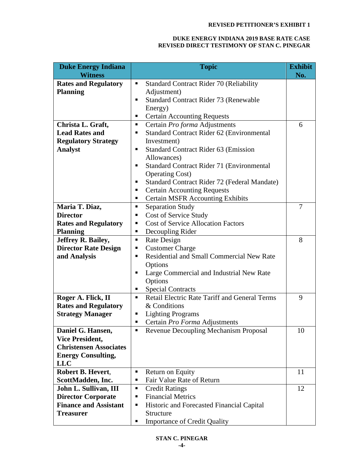| <b>Duke Energy Indiana</b>    | <b>Topic</b>                                              | <b>Exhibit</b> |
|-------------------------------|-----------------------------------------------------------|----------------|
| <b>Witness</b>                |                                                           | No.            |
| <b>Rates and Regulatory</b>   | <b>Standard Contract Rider 70 (Reliability</b><br>٠       |                |
| <b>Planning</b>               | Adjustment)                                               |                |
|                               | <b>Standard Contract Rider 73 (Renewable</b><br>٠         |                |
|                               | Energy)                                                   |                |
|                               | <b>Certain Accounting Requests</b><br>п                   |                |
| Christa L. Graft,             | Certain Pro forma Adjustments                             | 6              |
| <b>Lead Rates and</b>         | Standard Contract Rider 62 (Environmental<br>п            |                |
| <b>Regulatory Strategy</b>    | Investment)                                               |                |
| <b>Analyst</b>                | <b>Standard Contract Rider 63 (Emission</b><br>٠          |                |
|                               | Allowances)                                               |                |
|                               | Standard Contract Rider 71 (Environmental<br>п            |                |
|                               | <b>Operating Cost</b> )                                   |                |
|                               | Standard Contract Rider 72 (Federal Mandate)<br>٠         |                |
|                               | <b>Certain Accounting Requests</b><br>п                   |                |
|                               | <b>Certain MSFR Accounting Exhibits</b><br>٠              |                |
| Maria T. Diaz,                | <b>Separation Study</b><br>٠                              | 7              |
| <b>Director</b>               | Cost of Service Study<br>п                                |                |
| <b>Rates and Regulatory</b>   | <b>Cost of Service Allocation Factors</b><br>п            |                |
| <b>Planning</b>               | Decoupling Rider<br>٠                                     |                |
| Jeffrey R. Bailey,            | Rate Design<br>п                                          | 8              |
| <b>Director Rate Design</b>   | <b>Customer Charge</b><br>٠                               |                |
| and Analysis                  | Residential and Small Commercial New Rate<br>٠            |                |
|                               | Options                                                   |                |
|                               | Large Commercial and Industrial New Rate<br>п             |                |
|                               | Options                                                   |                |
|                               | <b>Special Contracts</b><br>п                             |                |
| Roger A. Flick, II            | <b>Retail Electric Rate Tariff and General Terms</b><br>٠ | 9              |
| <b>Rates and Regulatory</b>   | & Conditions                                              |                |
| <b>Strategy Manager</b>       | <b>Lighting Programs</b><br>п                             |                |
|                               | Certain Pro Forma Adjustments<br>п                        |                |
| Daniel G. Hansen,             | Revenue Decoupling Mechanism Proposal<br>п                | 10             |
| <b>Vice President,</b>        |                                                           |                |
| <b>Christensen Associates</b> |                                                           |                |
| <b>Energy Consulting,</b>     |                                                           |                |
| <b>LLC</b>                    |                                                           |                |
| Robert B. Hevert,             | Return on Equity<br>٠                                     | 11             |
| ScottMadden, Inc.             | Fair Value Rate of Return<br>п                            |                |
| John L. Sullivan, III         | <b>Credit Ratings</b><br>п                                | 12             |
| <b>Director Corporate</b>     | <b>Financial Metrics</b><br>٠                             |                |
| <b>Finance and Assistant</b>  | Historic and Forecasted Financial Capital<br>п            |                |
| <b>Treasurer</b>              | Structure                                                 |                |
|                               | <b>Importance of Credit Quality</b><br>п                  |                |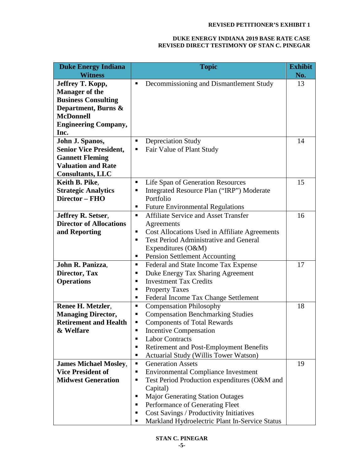| <b>Duke Energy Indiana</b>     | <b>Topic</b>                                                    | <b>Exhibit</b> |
|--------------------------------|-----------------------------------------------------------------|----------------|
| <b>Witness</b>                 |                                                                 | No.            |
| Jeffrey T. Kopp,               | Decommissioning and Dismantlement Study<br>п                    | 13             |
| <b>Manager of the</b>          |                                                                 |                |
| <b>Business Consulting</b>     |                                                                 |                |
| Department, Burns &            |                                                                 |                |
| <b>McDonnell</b>               |                                                                 |                |
| <b>Engineering Company,</b>    |                                                                 |                |
| Inc.                           |                                                                 |                |
| John J. Spanos,                | <b>Depreciation Study</b><br>٠                                  | 14             |
| <b>Senior Vice President,</b>  | Fair Value of Plant Study                                       |                |
| <b>Gannett Fleming</b>         |                                                                 |                |
| <b>Valuation and Rate</b>      |                                                                 |                |
| <b>Consultants, LLC</b>        |                                                                 |                |
| Keith B. Pike.                 | Life Span of Generation Resources                               | 15             |
| <b>Strategic Analytics</b>     | Integrated Resource Plan ("IRP") Moderate<br>п                  |                |
| Director - FHO                 | Portfolio                                                       |                |
|                                | <b>Future Environmental Regulations</b><br>ш                    |                |
| <b>Jeffrey R. Setser,</b>      | <b>Affiliate Service and Asset Transfer</b><br>$\blacksquare$   | 16             |
| <b>Director of Allocations</b> | Agreements                                                      |                |
| and Reporting                  | Cost Allocations Used in Affiliate Agreements<br>п              |                |
|                                | <b>Test Period Administrative and General</b><br>$\blacksquare$ |                |
|                                | Expenditures (O&M)                                              |                |
|                                | <b>Pension Settlement Accounting</b><br>ш                       |                |
| John R. Panizza,               | Federal and State Income Tax Expense<br>٠                       | 17             |
| Director, Tax                  | Duke Energy Tax Sharing Agreement<br>п                          |                |
| <b>Operations</b>              | <b>Investment Tax Credits</b>                                   |                |
|                                | <b>Property Taxes</b><br>п                                      |                |
|                                | Federal Income Tax Change Settlement<br>п                       |                |
| Renee H. Metzler,              | <b>Compensation Philosophy</b><br>٠                             | 18             |
| <b>Managing Director,</b>      | <b>Compensation Benchmarking Studies</b><br>٠                   |                |
| <b>Retirement and Health</b>   | <b>Components of Total Rewards</b><br>٠                         |                |
| & Welfare                      | Incentive Compensation<br>п                                     |                |
|                                | <b>Labor Contracts</b><br>п                                     |                |
|                                | Retirement and Post-Employment Benefits<br>п                    |                |
|                                | Actuarial Study (Willis Tower Watson)<br>п                      |                |
| <b>James Michael Mosley,</b>   | <b>Generation Assets</b><br>ш                                   | 19             |
| <b>Vice President of</b>       | <b>Environmental Compliance Investment</b><br>п                 |                |
| <b>Midwest Generation</b>      | Test Period Production expenditures (O&M and<br>п               |                |
|                                | Capital)                                                        |                |
|                                | <b>Major Generating Station Outages</b><br>п                    |                |
|                                | Performance of Generating Fleet<br>п                            |                |
|                                | Cost Savings / Productivity Initiatives<br>п                    |                |
|                                | Markland Hydroelectric Plant In-Service Status<br>п             |                |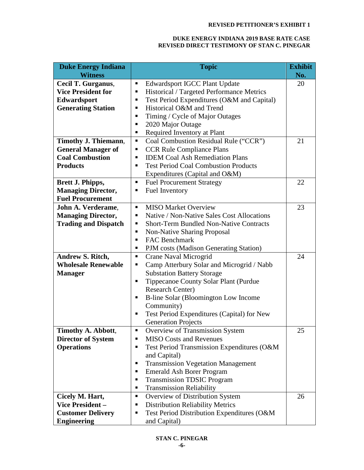| <b>Duke Energy Indiana</b>  | <b>Topic</b>                                        | <b>Exhibit</b> |
|-----------------------------|-----------------------------------------------------|----------------|
| <b>Witness</b>              |                                                     | No.            |
| Cecil T. Gurganus,          | <b>Edwardsport IGCC Plant Update</b><br>Е           | 20             |
| <b>Vice President for</b>   | Historical / Targeted Performance Metrics<br>٠      |                |
| Edwardsport                 | Test Period Expenditures (O&M and Capital)<br>٠     |                |
| <b>Generating Station</b>   | Historical O&M and Trend<br>٠                       |                |
|                             | Timing / Cycle of Major Outages<br>п                |                |
|                             | 2020 Major Outage<br>п                              |                |
|                             | Required Inventory at Plant<br>٠                    |                |
| Timothy J. Thiemann,        | Coal Combustion Residual Rule ("CCR")<br>٠          | 21             |
| <b>General Manager of</b>   | <b>CCR Rule Compliance Plans</b><br>٠               |                |
| <b>Coal Combustion</b>      | <b>IDEM Coal Ash Remediation Plans</b><br>п         |                |
| <b>Products</b>             | <b>Test Period Coal Combustion Products</b><br>п    |                |
|                             | Expenditures (Capital and O&M)                      |                |
| Brett J. Phipps,            | <b>Fuel Procurement Strategy</b><br>п               | 22             |
| <b>Managing Director,</b>   | <b>Fuel Inventory</b><br>п                          |                |
| <b>Fuel Procurement</b>     |                                                     |                |
| John A. Verderame,          | <b>MISO Market Overview</b><br>٠                    | 23             |
| <b>Managing Director,</b>   | Native / Non-Native Sales Cost Allocations<br>п     |                |
| <b>Trading and Dispatch</b> | <b>Short-Term Bundled Non-Native Contracts</b><br>п |                |
|                             | <b>Non-Native Sharing Proposal</b><br>٠             |                |
|                             | <b>FAC Benchmark</b><br>п                           |                |
|                             | PJM costs (Madison Generating Station)<br>٠         |                |
| Andrew S. Ritch,            | Crane Naval Microgrid<br>٠                          | 24             |
| <b>Wholesale Renewable</b>  | Camp Atterbury Solar and Microgrid / Nabb<br>п      |                |
| <b>Manager</b>              | <b>Substation Battery Storage</b>                   |                |
|                             | <b>Tippecanoe County Solar Plant (Purdue</b><br>П   |                |
|                             | <b>Research Center)</b>                             |                |
|                             | B-line Solar (Bloomington Low Income<br>п           |                |
|                             | Community)                                          |                |
|                             | Test Period Expenditures (Capital) for New<br>Е     |                |
|                             | <b>Generation Projects</b>                          |                |
| Timothy A. Abbott,          | Overview of Transmission System<br>Е                | 25             |
| <b>Director of System</b>   | <b>MISO Costs and Revenues</b><br>п                 |                |
| <b>Operations</b>           | Test Period Transmission Expenditures (O&M<br>п     |                |
|                             | and Capital)                                        |                |
|                             | <b>Transmission Vegetation Management</b><br>п      |                |
|                             | <b>Emerald Ash Borer Program</b><br>п               |                |
|                             | <b>Transmission TDSIC Program</b><br>п              |                |
|                             | <b>Transmission Reliability</b><br>п                |                |
| Cicely M. Hart,             | Overview of Distribution System<br>٠                | 26             |
| Vice President-             | <b>Distribution Reliability Metrics</b><br>п        |                |
| <b>Customer Delivery</b>    | Test Period Distribution Expenditures (O&M<br>Е     |                |
| <b>Engineering</b>          | and Capital)                                        |                |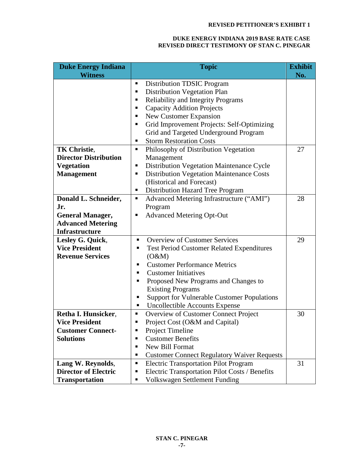| <b>Duke Energy Indiana</b>   | <b>Topic</b>                                                                                            | <b>Exhibit</b> |
|------------------------------|---------------------------------------------------------------------------------------------------------|----------------|
| <b>Witness</b>               | <b>Distribution TDSIC Program</b><br>п                                                                  | No.            |
|                              | Distribution Vegetation Plan<br>٠                                                                       |                |
|                              | <b>Reliability and Integrity Programs</b><br>٠                                                          |                |
|                              | <b>Capacity Addition Projects</b><br>٠                                                                  |                |
|                              | New Customer Expansion<br>٠                                                                             |                |
|                              | Grid Improvement Projects: Self-Optimizing<br>п                                                         |                |
|                              | Grid and Targeted Underground Program                                                                   |                |
|                              | <b>Storm Restoration Costs</b><br>п                                                                     |                |
| <b>TK Christie,</b>          | Philosophy of Distribution Vegetation<br>٠                                                              | 27             |
| <b>Director Distribution</b> | Management                                                                                              |                |
| <b>Vegetation</b>            | Distribution Vegetation Maintenance Cycle<br>п                                                          |                |
| <b>Management</b>            | <b>Distribution Vegetation Maintenance Costs</b><br>٠                                                   |                |
|                              | (Historical and Forecast)                                                                               |                |
|                              | Distribution Hazard Tree Program<br>٠                                                                   |                |
| Donald L. Schneider,         | Advanced Metering Infrastructure ("AMI")<br>п                                                           | 28             |
| Jr.                          | Program                                                                                                 |                |
| <b>General Manager,</b>      | <b>Advanced Metering Opt-Out</b><br>п                                                                   |                |
| <b>Advanced Metering</b>     |                                                                                                         |                |
| <b>Infrastructure</b>        |                                                                                                         |                |
| Lesley G. Quick,             | <b>Overview of Customer Services</b><br>٠                                                               | 29             |
| <b>Vice President</b>        | <b>Test Period Customer Related Expenditures</b><br>٠                                                   |                |
| <b>Revenue Services</b>      | (O&M)                                                                                                   |                |
|                              | <b>Customer Performance Metrics</b><br>٠                                                                |                |
|                              | <b>Customer Initiatives</b><br>▪                                                                        |                |
|                              | Proposed New Programs and Changes to<br>п                                                               |                |
|                              | <b>Existing Programs</b>                                                                                |                |
|                              | <b>Support for Vulnerable Customer Populations</b><br>٠                                                 |                |
|                              | <b>Uncollectible Accounts Expense</b><br>ш                                                              |                |
| Retha I. Hunsicker,          | Overview of Customer Connect Project<br>ш                                                               | 30             |
| <b>Vice President</b>        | Project Cost (O&M and Capital)<br>п                                                                     |                |
| <b>Customer Connect-</b>     | Project Timeline                                                                                        |                |
| <b>Solutions</b>             | <b>Customer Benefits</b><br>п<br><b>New Bill Format</b><br>٠                                            |                |
|                              | п                                                                                                       |                |
| Lang W. Reynolds,            | <b>Customer Connect Regulatory Waiver Requests</b><br><b>Electric Transportation Pilot Program</b><br>п | 31             |
| <b>Director of Electric</b>  | Electric Transportation Pilot Costs / Benefits<br>п                                                     |                |
| <b>Transportation</b>        | <b>Volkswagen Settlement Funding</b><br>٠                                                               |                |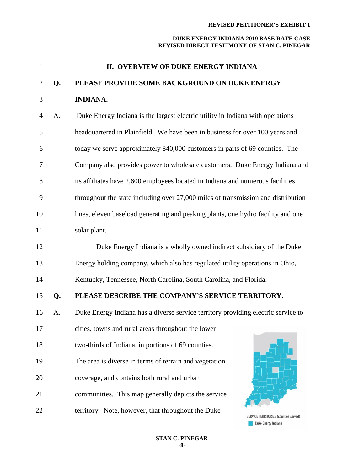## **DUKE ENERGY INDIANA 2019 BASE RATE CASE REVISED DIRECT TESTIMONY OF STAN C. PINEGAR**

| $\mathbf{1}$   |    | <b>II. OVERVIEW OF DUKE ENERGY INDIANA</b>                                        |
|----------------|----|-----------------------------------------------------------------------------------|
| $\overline{2}$ | Q. | PLEASE PROVIDE SOME BACKGROUND ON DUKE ENERGY                                     |
| 3              |    | <b>INDIANA.</b>                                                                   |
| $\overline{4}$ | A. | Duke Energy Indiana is the largest electric utility in Indiana with operations    |
| 5              |    | headquartered in Plainfield. We have been in business for over 100 years and      |
| 6              |    | today we serve approximately 840,000 customers in parts of 69 counties. The       |
| 7              |    | Company also provides power to wholesale customers. Duke Energy Indiana and       |
| 8              |    | its affiliates have 2,600 employees located in Indiana and numerous facilities    |
| 9              |    | throughout the state including over 27,000 miles of transmission and distribution |
| 10             |    | lines, eleven baseload generating and peaking plants, one hydro facility and one  |
| 11             |    | solar plant.                                                                      |
| 12             |    | Duke Energy Indiana is a wholly owned indirect subsidiary of the Duke             |
| 13             |    | Energy holding company, which also has regulated utility operations in Ohio,      |
| 14             |    | Kentucky, Tennessee, North Carolina, South Carolina, and Florida.                 |
| 15             | Q. | PLEASE DESCRIBE THE COMPANY'S SERVICE TERRITORY.                                  |
| 16             | A. | Duke Energy Indiana has a diverse service territory providing electric service to |
| 17             |    | cities, towns and rural areas throughout the lower                                |
| 18             |    | two-thirds of Indiana, in portions of 69 counties.                                |
| 19             |    | The area is diverse in terms of terrain and vegetation                            |
| 20             |    | coverage, and contains both rural and urban                                       |
| 21             |    | communities. This map generally depicts the service                               |
| 22             |    | territory. Note, however, that throughout the Duke                                |

SERVICE TERRITORIES (counties served) Duke Energy Indiana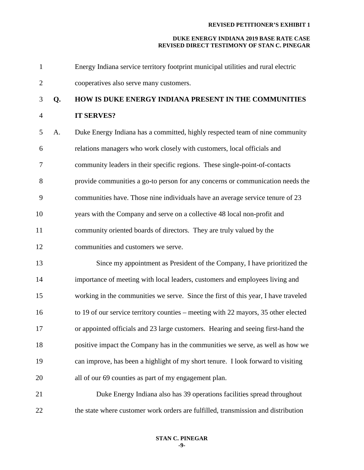#### **DUKE ENERGY INDIANA 2019 BASE RATE CASE REVISED DIRECT TESTIMONY OF STAN C. PINEGAR**

 Energy Indiana service territory footprint municipal utilities and rural electric cooperatives also serve many customers.

# **Q. HOW IS DUKE ENERGY INDIANA PRESENT IN THE COMMUNITIES**

## **IT SERVES?**

- A. Duke Energy Indiana has a committed, highly respected team of nine community relations managers who work closely with customers, local officials and community leaders in their specific regions. These single-point-of-contacts provide communities a go-to person for any concerns or communication needs the communities have. Those nine individuals have an average service tenure of 23 years with the Company and serve on a collective 48 local non-profit and community oriented boards of directors. They are truly valued by the
- communities and customers we serve.
- 13 Since my appointment as President of the Company, I have prioritized the importance of meeting with local leaders, customers and employees living and working in the communities we serve. Since the first of this year, I have traveled to 19 of our service territory counties – meeting with 22 mayors, 35 other elected or appointed officials and 23 large customers. Hearing and seeing first-hand the positive impact the Company has in the communities we serve, as well as how we can improve, has been a highlight of my short tenure. I look forward to visiting all of our 69 counties as part of my engagement plan.
- Duke Energy Indiana also has 39 operations facilities spread throughout the state where customer work orders are fulfilled, transmission and distribution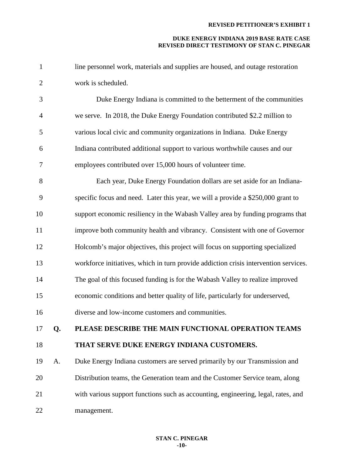| $\mathbf{1}$   |    | line personnel work, materials and supplies are housed, and outage restoration       |
|----------------|----|--------------------------------------------------------------------------------------|
| $\overline{2}$ |    | work is scheduled.                                                                   |
| 3              |    | Duke Energy Indiana is committed to the betterment of the communities                |
| $\overline{4}$ |    | we serve. In 2018, the Duke Energy Foundation contributed \$2.2 million to           |
| 5              |    | various local civic and community organizations in Indiana. Duke Energy              |
| 6              |    | Indiana contributed additional support to various worthwhile causes and our          |
| 7              |    | employees contributed over 15,000 hours of volunteer time.                           |
| 8              |    | Each year, Duke Energy Foundation dollars are set aside for an Indiana-              |
| 9              |    | specific focus and need. Later this year, we will a provide a \$250,000 grant to     |
| 10             |    | support economic resiliency in the Wabash Valley area by funding programs that       |
| 11             |    | improve both community health and vibrancy. Consistent with one of Governor          |
| 12             |    | Holcomb's major objectives, this project will focus on supporting specialized        |
| 13             |    | workforce initiatives, which in turn provide addiction crisis intervention services. |
| 14             |    | The goal of this focused funding is for the Wabash Valley to realize improved        |
| 15             |    | economic conditions and better quality of life, particularly for underserved,        |
| 16             |    | diverse and low-income customers and communities.                                    |
| 17             | Q. | PLEASE DESCRIBE THE MAIN FUNCTIONAL OPERATION TEAMS                                  |
| 18             |    | THAT SERVE DUKE ENERGY INDIANA CUSTOMERS.                                            |
| 19             | A. | Duke Energy Indiana customers are served primarily by our Transmission and           |
| 20             |    | Distribution teams, the Generation team and the Customer Service team, along         |
| 21             |    | with various support functions such as accounting, engineering, legal, rates, and    |
| 22             |    | management.                                                                          |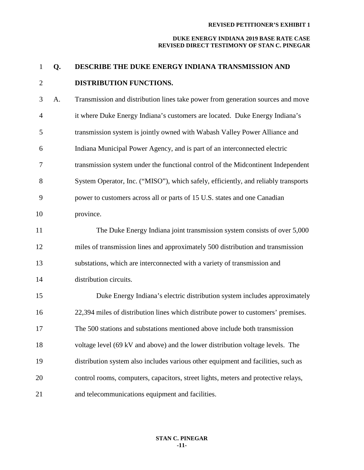| $\mathbf{1}$   | Q. | DESCRIBE THE DUKE ENERGY INDIANA TRANSMISSION AND                                  |
|----------------|----|------------------------------------------------------------------------------------|
| $\overline{2}$ |    | DISTRIBUTION FUNCTIONS.                                                            |
| 3              | A. | Transmission and distribution lines take power from generation sources and move    |
| $\overline{4}$ |    | it where Duke Energy Indiana's customers are located. Duke Energy Indiana's        |
| 5              |    | transmission system is jointly owned with Wabash Valley Power Alliance and         |
| 6              |    | Indiana Municipal Power Agency, and is part of an interconnected electric          |
| $\tau$         |    | transmission system under the functional control of the Midcontinent Independent   |
| 8              |    | System Operator, Inc. ("MISO"), which safely, efficiently, and reliably transports |
| 9              |    | power to customers across all or parts of 15 U.S. states and one Canadian          |
| 10             |    | province.                                                                          |
| 11             |    | The Duke Energy Indiana joint transmission system consists of over 5,000           |
| 12             |    | miles of transmission lines and approximately 500 distribution and transmission    |
| 13             |    | substations, which are interconnected with a variety of transmission and           |
| 14             |    | distribution circuits.                                                             |
| 15             |    | Duke Energy Indiana's electric distribution system includes approximately          |
| 16             |    | 22,394 miles of distribution lines which distribute power to customers' premises.  |
| 17             |    | The 500 stations and substations mentioned above include both transmission         |
| 18             |    | voltage level (69 kV and above) and the lower distribution voltage levels. The     |
| 19             |    | distribution system also includes various other equipment and facilities, such as  |
| 20             |    | control rooms, computers, capacitors, street lights, meters and protective relays, |
| 21             |    | and telecommunications equipment and facilities.                                   |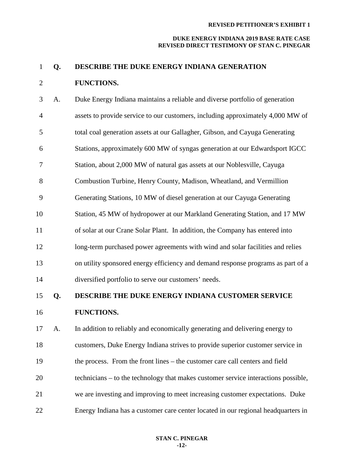#### **DUKE ENERGY INDIANA 2019 BASE RATE CASE REVISED DIRECT TESTIMONY OF STAN C. PINEGAR**

## **Q. DESCRIBE THE DUKE ENERGY INDIANA GENERATION**

## **FUNCTIONS.**

| 3              | A. | Duke Energy Indiana maintains a reliable and diverse portfolio of generation     |
|----------------|----|----------------------------------------------------------------------------------|
| $\overline{4}$ |    | assets to provide service to our customers, including approximately 4,000 MW of  |
| 5              |    | total coal generation assets at our Gallagher, Gibson, and Cayuga Generating     |
| 6              |    | Stations, approximately 600 MW of syngas generation at our Edwardsport IGCC      |
| 7              |    | Station, about 2,000 MW of natural gas assets at our Noblesville, Cayuga         |
| 8              |    | Combustion Turbine, Henry County, Madison, Wheatland, and Vermillion             |
| 9              |    | Generating Stations, 10 MW of diesel generation at our Cayuga Generating         |
| 10             |    | Station, 45 MW of hydropower at our Markland Generating Station, and 17 MW       |
| 11             |    | of solar at our Crane Solar Plant. In addition, the Company has entered into     |
| 12             |    | long-term purchased power agreements with wind and solar facilities and relies   |
| 13             |    | on utility sponsored energy efficiency and demand response programs as part of a |
| 14             |    | diversified portfolio to serve our customers' needs.                             |

## **Q. DESCRIBE THE DUKE ENERGY INDIANA CUSTOMER SERVICE**

## **FUNCTIONS.**

 A. In addition to reliably and economically generating and delivering energy to customers, Duke Energy Indiana strives to provide superior customer service in the process. From the front lines – the customer care call centers and field technicians – to the technology that makes customer service interactions possible, we are investing and improving to meet increasing customer expectations. Duke Energy Indiana has a customer care center located in our regional headquarters in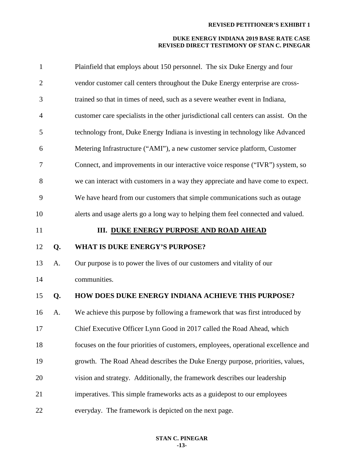| $\mathbf{1}$   |    | Plainfield that employs about 150 personnel. The six Duke Energy and four             |
|----------------|----|---------------------------------------------------------------------------------------|
| $\overline{2}$ |    | vendor customer call centers throughout the Duke Energy enterprise are cross-         |
| 3              |    | trained so that in times of need, such as a severe weather event in Indiana,          |
| $\overline{4}$ |    | customer care specialists in the other jurisdictional call centers can assist. On the |
| 5              |    | technology front, Duke Energy Indiana is investing in technology like Advanced        |
| 6              |    | Metering Infrastructure ("AMI"), a new customer service platform, Customer            |
| 7              |    | Connect, and improvements in our interactive voice response ("IVR") system, so        |
| 8              |    | we can interact with customers in a way they appreciate and have come to expect.      |
| 9              |    | We have heard from our customers that simple communications such as outage            |
| 10             |    | alerts and usage alerts go a long way to helping them feel connected and valued.      |
| 11             |    | <b>III. DUKE ENERGY PURPOSE AND ROAD AHEAD</b>                                        |
|                |    |                                                                                       |
| 12             | Q. | <b>WHAT IS DUKE ENERGY'S PURPOSE?</b>                                                 |
| 13             | A. | Our purpose is to power the lives of our customers and vitality of our                |
| 14             |    | communities.                                                                          |
| 15             | Q. | HOW DOES DUKE ENERGY INDIANA ACHIEVE THIS PURPOSE?                                    |
| 16             | A. | We achieve this purpose by following a framework that was first introduced by         |
| 17             |    | Chief Executive Officer Lynn Good in 2017 called the Road Ahead, which                |
| 18             |    | focuses on the four priorities of customers, employees, operational excellence and    |
| 19             |    | growth. The Road Ahead describes the Duke Energy purpose, priorities, values,         |
| 20             |    | vision and strategy. Additionally, the framework describes our leadership             |
| 21             |    | imperatives. This simple frameworks acts as a guidepost to our employees              |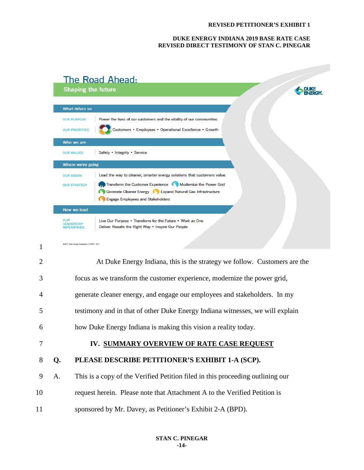#### **DUKE ENERGY INDIANA 2019 BASE RATE CASE REVISED DIRECT TESTIMONY OF STAN C. PINEGAR**

| The Road Ahead:<br><b>Shaping the future</b>                                                                                                                                                                                                                                                             |  |
|----------------------------------------------------------------------------------------------------------------------------------------------------------------------------------------------------------------------------------------------------------------------------------------------------------|--|
| <b>What drives us</b>                                                                                                                                                                                                                                                                                    |  |
| Power the lives of our customers and the vitality of our communities.<br><b>OUR PURPOSE</b><br>Customers • Employees • Operational Excellence • Growth<br><b>OUR PRIORITIES</b>                                                                                                                          |  |
| Who we are                                                                                                                                                                                                                                                                                               |  |
| Safety • Integrity • Service<br><b>OUR VALUES</b><br>Where we're going                                                                                                                                                                                                                                   |  |
| Lead the way to cleaner, smarter energy solutions that customers value.<br><b>OUR VISION</b><br>Transform the Customer Experience (C) Modernize the Power Grid<br><b>OUR STRATEGY</b><br>Generate Cleaner Energy <b>CO</b> Expand Natural Gas Infrastructure<br><b>Engage Employees and Stakeholders</b> |  |
| How we lead                                                                                                                                                                                                                                                                                              |  |
| OUR<br>Live Our Purpose . Transform for the Future . Work as One<br><b>LEADERSHIP</b><br>Deliver Results the Right Way • Inspire Our People<br><b>IMPERATIVES</b>                                                                                                                                        |  |
| 02017 Duke Energy Corporation 170867 5/17                                                                                                                                                                                                                                                                |  |

| $\overline{2}$ |    | At Duke Energy Indiana, this is the strategy we follow. Customers are the      |
|----------------|----|--------------------------------------------------------------------------------|
| 3              |    | focus as we transform the customer experience, modernize the power grid,       |
| $\overline{4}$ |    | generate cleaner energy, and engage our employees and stakeholders. In my      |
| 5              |    | testimony and in that of other Duke Energy Indiana witnesses, we will explain  |
| 6              |    | how Duke Energy Indiana is making this vision a reality today.                 |
|                |    |                                                                                |
| 7              |    | IV. SUMMARY OVERVIEW OF RATE CASE REQUEST                                      |
| 8              | Q. | PLEASE DESCRIBE PETITIONER'S EXHIBIT 1-A (SCP).                                |
| 9              | A. | This is a copy of the Verified Petition filed in this proceeding outlining our |
| 10             |    | request herein. Please note that Attachment A to the Verified Petition is      |
| 11             |    | sponsored by Mr. Davey, as Petitioner's Exhibit 2-A (BPD).                     |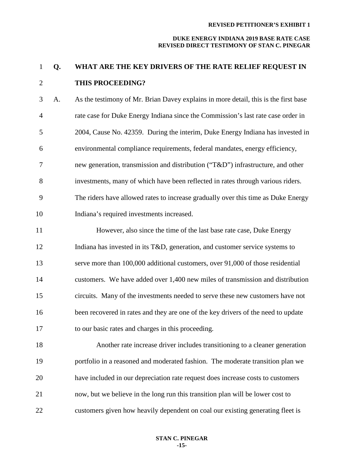#### **DUKE ENERGY INDIANA 2019 BASE RATE CASE REVISED DIRECT TESTIMONY OF STAN C. PINEGAR**

# **Q. WHAT ARE THE KEY DRIVERS OF THE RATE RELIEF REQUEST IN THIS PROCEEDING?**

 A. As the testimony of Mr. Brian Davey explains in more detail, this is the first base rate case for Duke Energy Indiana since the Commission's last rate case order in 2004, Cause No. 42359. During the interim, Duke Energy Indiana has invested in environmental compliance requirements, federal mandates, energy efficiency, new generation, transmission and distribution ("T&D") infrastructure, and other investments, many of which have been reflected in rates through various riders. The riders have allowed rates to increase gradually over this time as Duke Energy Indiana's required investments increased.

 However, also since the time of the last base rate case, Duke Energy Indiana has invested in its T&D, generation, and customer service systems to serve more than 100,000 additional customers, over 91,000 of those residential customers. We have added over 1,400 new miles of transmission and distribution circuits. Many of the investments needed to serve these new customers have not been recovered in rates and they are one of the key drivers of the need to update to our basic rates and charges in this proceeding.

 Another rate increase driver includes transitioning to a cleaner generation portfolio in a reasoned and moderated fashion. The moderate transition plan we have included in our depreciation rate request does increase costs to customers now, but we believe in the long run this transition plan will be lower cost to customers given how heavily dependent on coal our existing generating fleet is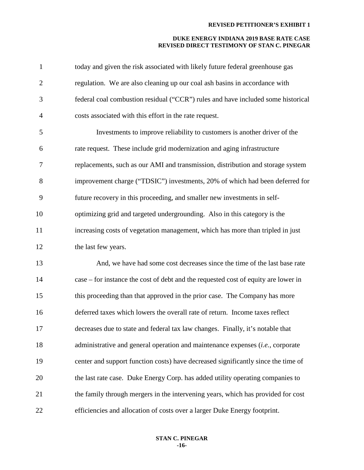| $\mathbf{1}$   | today and given the risk associated with likely future federal greenhouse gas           |
|----------------|-----------------------------------------------------------------------------------------|
| $\overline{2}$ | regulation. We are also cleaning up our coal ash basins in accordance with              |
| 3              | federal coal combustion residual ("CCR") rules and have included some historical        |
| $\overline{4}$ | costs associated with this effort in the rate request.                                  |
| 5              | Investments to improve reliability to customers is another driver of the                |
| 6              | rate request. These include grid modernization and aging infrastructure                 |
| $\tau$         | replacements, such as our AMI and transmission, distribution and storage system         |
| 8              | improvement charge ("TDSIC") investments, 20% of which had been deferred for            |
| 9              | future recovery in this proceeding, and smaller new investments in self-                |
| 10             | optimizing grid and targeted undergrounding. Also in this category is the               |
| 11             | increasing costs of vegetation management, which has more than tripled in just          |
| 12             | the last few years.                                                                     |
| 13             | And, we have had some cost decreases since the time of the last base rate               |
| 14             | case – for instance the cost of debt and the requested cost of equity are lower in      |
| 15             | this proceeding than that approved in the prior case. The Company has more              |
| 16             | deferred taxes which lowers the overall rate of return. Income taxes reflect            |
| 17             | decreases due to state and federal tax law changes. Finally, it's notable that          |
| 18             | administrative and general operation and maintenance expenses ( <i>i.e.</i> , corporate |
| 19             | center and support function costs) have decreased significantly since the time of       |
| 20             | the last rate case. Duke Energy Corp. has added utility operating companies to          |
| 21             | the family through mergers in the intervening years, which has provided for cost        |
| 22             | efficiencies and allocation of costs over a larger Duke Energy footprint.               |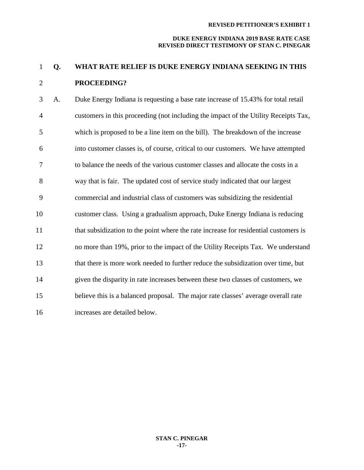#### **DUKE ENERGY INDIANA 2019 BASE RATE CASE REVISED DIRECT TESTIMONY OF STAN C. PINEGAR**

# **Q. WHAT RATE RELIEF IS DUKE ENERGY INDIANA SEEKING IN THIS PROCEEDING?**

 A. Duke Energy Indiana is requesting a base rate increase of 15.43% for total retail customers in this proceeding (not including the impact of the Utility Receipts Tax, which is proposed to be a line item on the bill). The breakdown of the increase into customer classes is, of course, critical to our customers. We have attempted to balance the needs of the various customer classes and allocate the costs in a way that is fair. The updated cost of service study indicated that our largest commercial and industrial class of customers was subsidizing the residential customer class. Using a gradualism approach, Duke Energy Indiana is reducing that subsidization to the point where the rate increase for residential customers is no more than 19%, prior to the impact of the Utility Receipts Tax. We understand that there is more work needed to further reduce the subsidization over time, but given the disparity in rate increases between these two classes of customers, we believe this is a balanced proposal. The major rate classes' average overall rate increases are detailed below.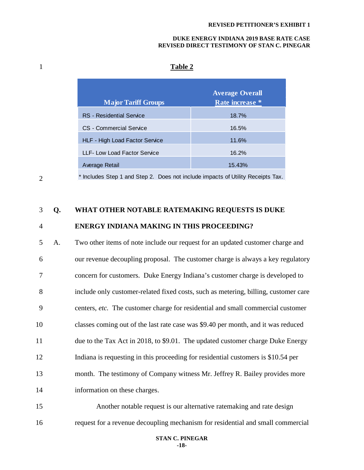#### **DUKE ENERGY INDIANA 2019 BASE RATE CASE REVISED DIRECT TESTIMONY OF STAN C. PINEGAR**

# 1 **Table 2**

| <b>Average Overall</b> |
|------------------------|
| Rate increase *        |
| 18.7%                  |
| 16.5%                  |
| 11.6%                  |
| 16.2%                  |
| 15.43%                 |
|                        |

2

\* Includes Step 1 and Step 2. Does not include impacts of Utility Receipts Tax.

## 3 **Q. WHAT OTHER NOTABLE RATEMAKING REQUESTS IS DUKE**

## 4 **ENERGY INDIANA MAKING IN THIS PROCEEDING?**

 A. Two other items of note include our request for an updated customer charge and our revenue decoupling proposal. The customer charge is always a key regulatory concern for customers. Duke Energy Indiana's customer charge is developed to include only customer-related fixed costs, such as metering, billing, customer care centers, *etc.* The customer charge for residential and small commercial customer classes coming out of the last rate case was \$9.40 per month, and it was reduced due to the Tax Act in 2018, to \$9.01. The updated customer charge Duke Energy Indiana is requesting in this proceeding for residential customers is \$10.54 per month. The testimony of Company witness Mr. Jeffrey R. Bailey provides more information on these charges.

15 Another notable request is our alternative ratemaking and rate design 16 request for a revenue decoupling mechanism for residential and small commercial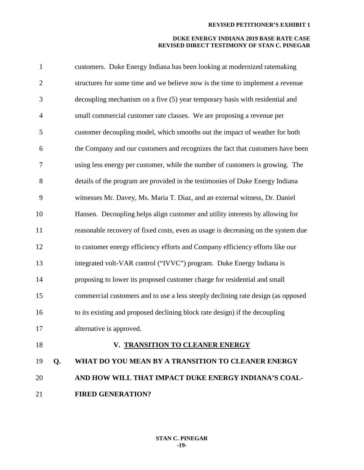| $\mathbf{1}$   |    | customers. Duke Energy Indiana has been looking at modernized ratemaking          |
|----------------|----|-----------------------------------------------------------------------------------|
| $\overline{2}$ |    | structures for some time and we believe now is the time to implement a revenue    |
| 3              |    | decoupling mechanism on a five (5) year temporary basis with residential and      |
| $\overline{4}$ |    | small commercial customer rate classes. We are proposing a revenue per            |
| 5              |    | customer decoupling model, which smooths out the impact of weather for both       |
| 6              |    | the Company and our customers and recognizes the fact that customers have been    |
| 7              |    | using less energy per customer, while the number of customers is growing. The     |
| 8              |    | details of the program are provided in the testimonies of Duke Energy Indiana     |
| 9              |    | witnesses Mr. Davey, Ms. Maria T. Diaz, and an external witness, Dr. Daniel       |
| 10             |    | Hansen. Decoupling helps align customer and utility interests by allowing for     |
| 11             |    | reasonable recovery of fixed costs, even as usage is decreasing on the system due |
| 12             |    | to customer energy efficiency efforts and Company efficiency efforts like our     |
| 13             |    | integrated volt-VAR control ("IVVC") program. Duke Energy Indiana is              |
| 14             |    | proposing to lower its proposed customer charge for residential and small         |
| 15             |    | commercial customers and to use a less steeply declining rate design (as opposed  |
| 16             |    | to its existing and proposed declining block rate design) if the decoupling       |
| 17             |    | alternative is approved.                                                          |
| 18             |    | V. TRANSITION TO CLEANER ENERGY                                                   |
| 19             | Q. | WHAT DO YOU MEAN BY A TRANSITION TO CLEANER ENERGY                                |
| 20             |    | AND HOW WILL THAT IMPACT DUKE ENERGY INDIANA'S COAL-                              |
| 21             |    | <b>FIRED GENERATION?</b>                                                          |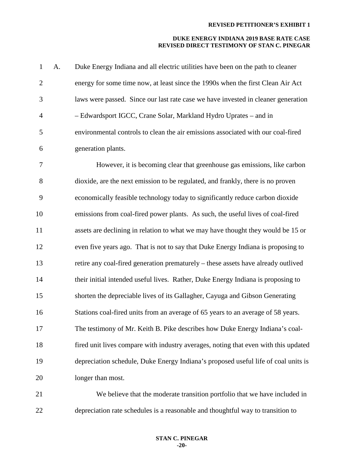### **DUKE ENERGY INDIANA 2019 BASE RATE CASE REVISED DIRECT TESTIMONY OF STAN C. PINEGAR**

| $\mathbf{1}$   | A. | Duke Energy Indiana and all electric utilities have been on the path to cleaner     |
|----------------|----|-------------------------------------------------------------------------------------|
| $\overline{2}$ |    | energy for some time now, at least since the 1990s when the first Clean Air Act     |
| 3              |    | laws were passed. Since our last rate case we have invested in cleaner generation   |
| $\overline{4}$ |    | - Edwardsport IGCC, Crane Solar, Markland Hydro Uprates - and in                    |
| 5              |    | environmental controls to clean the air emissions associated with our coal-fired    |
| 6              |    | generation plants.                                                                  |
| 7              |    | However, it is becoming clear that greenhouse gas emissions, like carbon            |
| 8              |    | dioxide, are the next emission to be regulated, and frankly, there is no proven     |
| 9              |    | economically feasible technology today to significantly reduce carbon dioxide       |
| 10             |    | emissions from coal-fired power plants. As such, the useful lives of coal-fired     |
| 11             |    | assets are declining in relation to what we may have thought they would be 15 or    |
| 12             |    | even five years ago. That is not to say that Duke Energy Indiana is proposing to    |
| 13             |    | retire any coal-fired generation prematurely - these assets have already outlived   |
| 14             |    | their initial intended useful lives. Rather, Duke Energy Indiana is proposing to    |
| 15             |    | shorten the depreciable lives of its Gallagher, Cayuga and Gibson Generating        |
| 16             |    | Stations coal-fired units from an average of 65 years to an average of 58 years.    |
| 17             |    | The testimony of Mr. Keith B. Pike describes how Duke Energy Indiana's coal-        |
| 18             |    | fired unit lives compare with industry averages, noting that even with this updated |
| 19             |    | depreciation schedule, Duke Energy Indiana's proposed useful life of coal units is  |
| 20             |    | longer than most.                                                                   |
| 21             |    | We believe that the moderate transition portfolio that we have included in          |
|                |    |                                                                                     |

depreciation rate schedules is a reasonable and thoughtful way to transition to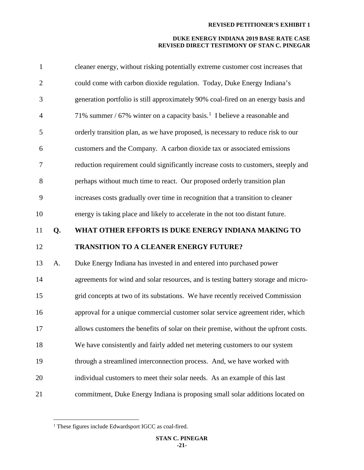| $\mathbf{1}$   |    | cleaner energy, without risking potentially extreme customer cost increases that     |
|----------------|----|--------------------------------------------------------------------------------------|
| $\mathbf{2}$   |    | could come with carbon dioxide regulation. Today, Duke Energy Indiana's              |
| 3              |    | generation portfolio is still approximately 90% coal-fired on an energy basis and    |
| $\overline{4}$ |    | 71% summer / 67% winter on a capacity basis. <sup>1</sup> I believe a reasonable and |
| 5              |    | orderly transition plan, as we have proposed, is necessary to reduce risk to our     |
| 6              |    | customers and the Company. A carbon dioxide tax or associated emissions              |
| 7              |    | reduction requirement could significantly increase costs to customers, steeply and   |
| 8              |    | perhaps without much time to react. Our proposed orderly transition plan             |
| 9              |    | increases costs gradually over time in recognition that a transition to cleaner      |
| 10             |    | energy is taking place and likely to accelerate in the not too distant future.       |
| 11             | Q. | WHAT OTHER EFFORTS IS DUKE ENERGY INDIANA MAKING TO                                  |
|                |    |                                                                                      |
| 12             |    | <b>TRANSITION TO A CLEANER ENERGY FUTURE?</b>                                        |
| 13             | A. | Duke Energy Indiana has invested in and entered into purchased power                 |
| 14             |    | agreements for wind and solar resources, and is testing battery storage and micro-   |
| 15             |    | grid concepts at two of its substations. We have recently received Commission        |
| 16             |    | approval for a unique commercial customer solar service agreement rider, which       |
| 17             |    | allows customers the benefits of solar on their premise, without the upfront costs.  |
| 18             |    | We have consistently and fairly added net metering customers to our system           |
| 19             |    | through a streamlined interconnection process. And, we have worked with              |
| 20             |    | individual customers to meet their solar needs. As an example of this last           |

<span id="page-20-0"></span>These figures include Edwardsport IGCC as coal-fired.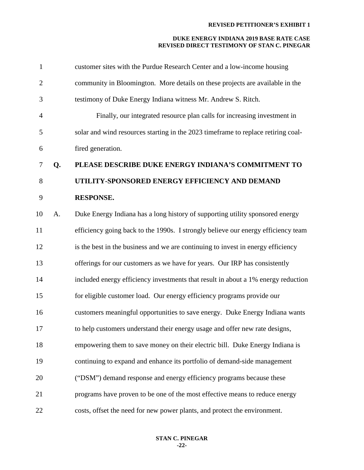| $\mathbf{1}$   |    | customer sites with the Purdue Research Center and a low-income housing           |
|----------------|----|-----------------------------------------------------------------------------------|
| $\overline{2}$ |    | community in Bloomington. More details on these projects are available in the     |
| 3              |    | testimony of Duke Energy Indiana witness Mr. Andrew S. Ritch.                     |
| $\overline{4}$ |    | Finally, our integrated resource plan calls for increasing investment in          |
| 5              |    | solar and wind resources starting in the 2023 timeframe to replace retiring coal- |
| 6              |    | fired generation.                                                                 |
| $\tau$         | Q. | PLEASE DESCRIBE DUKE ENERGY INDIANA'S COMMITMENT TO                               |
| 8              |    | UTILITY-SPONSORED ENERGY EFFICIENCY AND DEMAND                                    |
| 9              |    | <b>RESPONSE.</b>                                                                  |
| 10             | A. | Duke Energy Indiana has a long history of supporting utility sponsored energy     |
| 11             |    | efficiency going back to the 1990s. I strongly believe our energy efficiency team |
| 12             |    | is the best in the business and we are continuing to invest in energy efficiency  |
| 13             |    | offerings for our customers as we have for years. Our IRP has consistently        |
| 14             |    | included energy efficiency investments that result in about a 1% energy reduction |
| 15             |    | for eligible customer load. Our energy efficiency programs provide our            |
| 16             |    | customers meaningful opportunities to save energy. Duke Energy Indiana wants      |
| 17             |    | to help customers understand their energy usage and offer new rate designs,       |
| 18             |    | empowering them to save money on their electric bill. Duke Energy Indiana is      |
| 19             |    | continuing to expand and enhance its portfolio of demand-side management          |
| 20             |    | ("DSM") demand response and energy efficiency programs because these              |
| 21             |    | programs have proven to be one of the most effective means to reduce energy       |
| 22             |    | costs, offset the need for new power plants, and protect the environment.         |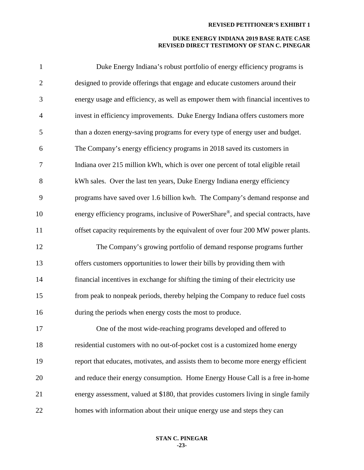| $\mathbf{1}$   | Duke Energy Indiana's robust portfolio of energy efficiency programs is             |
|----------------|-------------------------------------------------------------------------------------|
| $\mathbf{2}$   | designed to provide offerings that engage and educate customers around their        |
| 3              | energy usage and efficiency, as well as empower them with financial incentives to   |
| $\overline{4}$ | invest in efficiency improvements. Duke Energy Indiana offers customers more        |
| 5              | than a dozen energy-saving programs for every type of energy user and budget.       |
| 6              | The Company's energy efficiency programs in 2018 saved its customers in             |
| 7              | Indiana over 215 million kWh, which is over one percent of total eligible retail    |
| 8              | kWh sales. Over the last ten years, Duke Energy Indiana energy efficiency           |
| 9              | programs have saved over 1.6 billion kwh. The Company's demand response and         |
| 10             | energy efficiency programs, inclusive of PowerShare®, and special contracts, have   |
| 11             | offset capacity requirements by the equivalent of over four 200 MW power plants.    |
| 12             | The Company's growing portfolio of demand response programs further                 |
| 13             | offers customers opportunities to lower their bills by providing them with          |
| 14             | financial incentives in exchange for shifting the timing of their electricity use   |
| 15             | from peak to nonpeak periods, thereby helping the Company to reduce fuel costs      |
| 16             | during the periods when energy costs the most to produce.                           |
| 17             | One of the most wide-reaching programs developed and offered to                     |
| 18             | residential customers with no out-of-pocket cost is a customized home energy        |
| 19             | report that educates, motivates, and assists them to become more energy efficient   |
| 20             | and reduce their energy consumption. Home Energy House Call is a free in-home       |
| 21             | energy assessment, valued at \$180, that provides customers living in single family |
| 22             | homes with information about their unique energy use and steps they can             |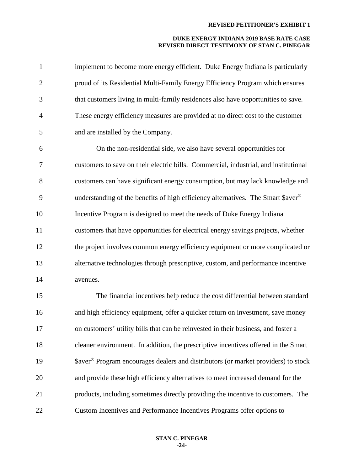| $\mathbf{1}$   | implement to become more energy efficient. Duke Energy Indiana is particularly               |
|----------------|----------------------------------------------------------------------------------------------|
| $\overline{2}$ | proud of its Residential Multi-Family Energy Efficiency Program which ensures                |
| 3              | that customers living in multi-family residences also have opportunities to save.            |
| $\overline{4}$ | These energy efficiency measures are provided at no direct cost to the customer              |
| 5              | and are installed by the Company.                                                            |
| 6              | On the non-residential side, we also have several opportunities for                          |
| 7              | customers to save on their electric bills. Commercial, industrial, and institutional         |
| 8              | customers can have significant energy consumption, but may lack knowledge and                |
| 9              | understanding of the benefits of high efficiency alternatives. The Smart \$aver <sup>®</sup> |
| 10             | Incentive Program is designed to meet the needs of Duke Energy Indiana                       |
| 11             | customers that have opportunities for electrical energy savings projects, whether            |
| 12             | the project involves common energy efficiency equipment or more complicated or               |
| 13             | alternative technologies through prescriptive, custom, and performance incentive             |
| 14             | avenues.                                                                                     |
| 15             | The financial incentives help reduce the cost differential between standard                  |
| 16             | and high efficiency equipment, offer a quicker return on investment, save money              |
| 17             | on customers' utility bills that can be reinvested in their business, and foster a           |
| 18             | cleaner environment. In addition, the prescriptive incentives offered in the Smart           |
| 19             | \$aver® Program encourages dealers and distributors (or market providers) to stock           |
| 20             | and provide these high efficiency alternatives to meet increased demand for the              |
| 21             | products, including sometimes directly providing the incentive to customers. The             |
| 22             | Custom Incentives and Performance Incentives Programs offer options to                       |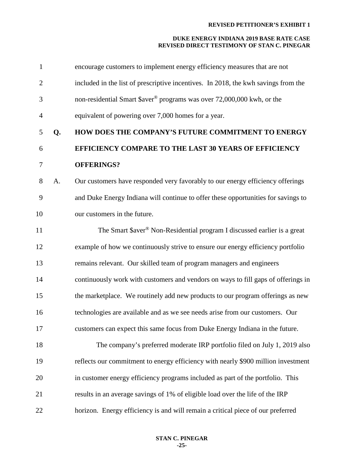| $\mathbf{1}$   |    | encourage customers to implement energy efficiency measures that are not             |
|----------------|----|--------------------------------------------------------------------------------------|
| $\overline{2}$ |    | included in the list of prescriptive incentives. In 2018, the kwh savings from the   |
| 3              |    | non-residential Smart \$aver <sup>®</sup> programs was over 72,000,000 kwh, or the   |
| $\overline{4}$ |    | equivalent of powering over 7,000 homes for a year.                                  |
| 5              | Q. | HOW DOES THE COMPANY'S FUTURE COMMITMENT TO ENERGY                                   |
| 6              |    | EFFICIENCY COMPARE TO THE LAST 30 YEARS OF EFFICIENCY                                |
| 7              |    | <b>OFFERINGS?</b>                                                                    |
| 8              | A. | Our customers have responded very favorably to our energy efficiency offerings       |
| 9              |    | and Duke Energy Indiana will continue to offer these opportunities for savings to    |
| 10             |    | our customers in the future.                                                         |
| 11             |    | The Smart \$aver <sup>®</sup> Non-Residential program I discussed earlier is a great |
| 12             |    | example of how we continuously strive to ensure our energy efficiency portfolio      |
| 13             |    | remains relevant. Our skilled team of program managers and engineers                 |
| 14             |    | continuously work with customers and vendors on ways to fill gaps of offerings in    |
| 15             |    | the marketplace. We routinely add new products to our program offerings as new       |
| 16             |    | technologies are available and as we see needs arise from our customers. Our         |
| 17             |    | customers can expect this same focus from Duke Energy Indiana in the future.         |
| 18             |    | The company's preferred moderate IRP portfolio filed on July 1, 2019 also            |
| 19             |    | reflects our commitment to energy efficiency with nearly \$900 million investment    |
| 20             |    | in customer energy efficiency programs included as part of the portfolio. This       |
| 21             |    | results in an average savings of 1% of eligible load over the life of the IRP        |
| 22             |    | horizon. Energy efficiency is and will remain a critical piece of our preferred      |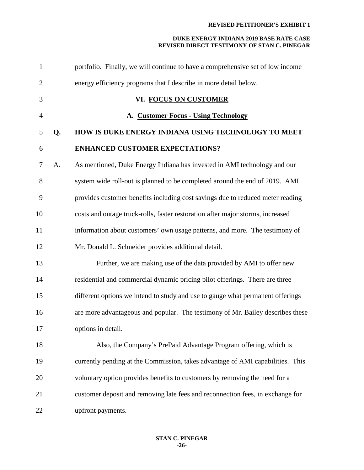| $\mathbf{1}$   |    | portfolio. Finally, we will continue to have a comprehensive set of low income |
|----------------|----|--------------------------------------------------------------------------------|
| $\overline{2}$ |    | energy efficiency programs that I describe in more detail below.               |
| 3              |    | VI. FOCUS ON CUSTOMER                                                          |
| $\overline{4}$ |    | A. Customer Focus - Using Technology                                           |
| 5              | Q. | HOW IS DUKE ENERGY INDIANA USING TECHNOLOGY TO MEET                            |
| 6              |    | <b>ENHANCED CUSTOMER EXPECTATIONS?</b>                                         |
| $\tau$         | A. | As mentioned, Duke Energy Indiana has invested in AMI technology and our       |
| 8              |    | system wide roll-out is planned to be completed around the end of 2019. AMI    |
| 9              |    | provides customer benefits including cost savings due to reduced meter reading |
| 10             |    | costs and outage truck-rolls, faster restoration after major storms, increased |
| 11             |    | information about customers' own usage patterns, and more. The testimony of    |
| 12             |    | Mr. Donald L. Schneider provides additional detail.                            |
| 13             |    | Further, we are making use of the data provided by AMI to offer new            |
| 14             |    | residential and commercial dynamic pricing pilot offerings. There are three    |
| 15             |    | different options we intend to study and use to gauge what permanent offerings |
| 16             |    | are more advantageous and popular. The testimony of Mr. Bailey describes these |
| 17             |    | options in detail.                                                             |
| 18             |    | Also, the Company's PrePaid Advantage Program offering, which is               |
| 19             |    | currently pending at the Commission, takes advantage of AMI capabilities. This |
| 20             |    | voluntary option provides benefits to customers by removing the need for a     |
| 21             |    | customer deposit and removing late fees and reconnection fees, in exchange for |
| 22             |    | upfront payments.                                                              |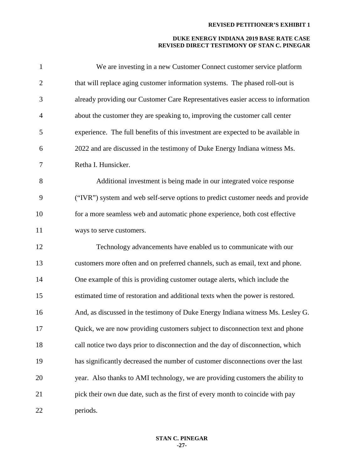| $\mathbf{1}$ | We are investing in a new Customer Connect customer service platform             |
|--------------|----------------------------------------------------------------------------------|
| $\mathbf{2}$ | that will replace aging customer information systems. The phased roll-out is     |
| 3            | already providing our Customer Care Representatives easier access to information |
| 4            | about the customer they are speaking to, improving the customer call center      |
| 5            | experience. The full benefits of this investment are expected to be available in |
| 6            | 2022 and are discussed in the testimony of Duke Energy Indiana witness Ms.       |
| 7            | Retha I. Hunsicker.                                                              |
| 8            | Additional investment is being made in our integrated voice response             |
| 9            | ("IVR") system and web self-serve options to predict customer needs and provide  |
| 10           | for a more seamless web and automatic phone experience, both cost effective      |
| 11           | ways to serve customers.                                                         |
| 12           | Technology advancements have enabled us to communicate with our                  |
| 13           | customers more often and on preferred channels, such as email, text and phone.   |
| 14           | One example of this is providing customer outage alerts, which include the       |
| 15           | estimated time of restoration and additional texts when the power is restored.   |
| 16           | And, as discussed in the testimony of Duke Energy Indiana witness Ms. Lesley G.  |
| 17           | Quick, we are now providing customers subject to disconnection text and phone    |
| 18           | call notice two days prior to disconnection and the day of disconnection, which  |
| 19           | has significantly decreased the number of customer disconnections over the last  |
| 20           | year. Also thanks to AMI technology, we are providing customers the ability to   |
| 21           | pick their own due date, such as the first of every month to coincide with pay   |
| 22           | periods.                                                                         |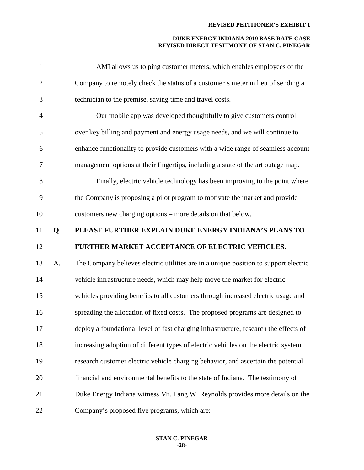| $\mathbf{1}$   |    | AMI allows us to ping customer meters, which enables employees of the                |
|----------------|----|--------------------------------------------------------------------------------------|
| $\mathbf{2}$   |    | Company to remotely check the status of a customer's meter in lieu of sending a      |
| 3              |    | technician to the premise, saving time and travel costs.                             |
| $\overline{4}$ |    | Our mobile app was developed thoughtfully to give customers control                  |
| 5              |    | over key billing and payment and energy usage needs, and we will continue to         |
| 6              |    | enhance functionality to provide customers with a wide range of seamless account     |
| 7              |    | management options at their fingertips, including a state of the art outage map.     |
| 8              |    | Finally, electric vehicle technology has been improving to the point where           |
| 9              |    | the Company is proposing a pilot program to motivate the market and provide          |
| 10             |    | customers new charging options – more details on that below.                         |
| 11             | Q. | PLEASE FURTHER EXPLAIN DUKE ENERGY INDIANA'S PLANS TO                                |
|                |    |                                                                                      |
| 12             |    | FURTHER MARKET ACCEPTANCE OF ELECTRIC VEHICLES.                                      |
| 13             | A. | The Company believes electric utilities are in a unique position to support electric |
| 14             |    | vehicle infrastructure needs, which may help move the market for electric            |
| 15             |    | vehicles providing benefits to all customers through increased electric usage and    |
| 16             |    | spreading the allocation of fixed costs. The proposed programs are designed to       |
| 17             |    | deploy a foundational level of fast charging infrastructure, research the effects of |
| 18             |    | increasing adoption of different types of electric vehicles on the electric system,  |
| 19             |    | research customer electric vehicle charging behavior, and ascertain the potential    |
| 20             |    | financial and environmental benefits to the state of Indiana. The testimony of       |
| 21             |    | Duke Energy Indiana witness Mr. Lang W. Reynolds provides more details on the        |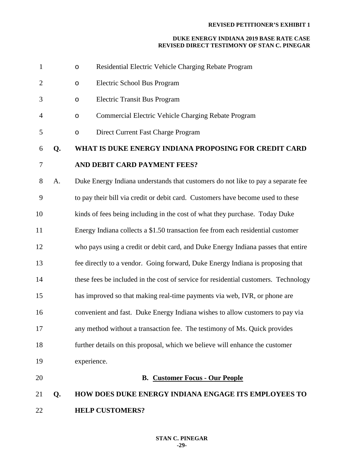| $\mathbf{1}$   |    | $\circ$     | Residential Electric Vehicle Charging Rebate Program                                |
|----------------|----|-------------|-------------------------------------------------------------------------------------|
| $\overline{2}$ |    | $\circ$     | Electric School Bus Program                                                         |
| 3              |    | $\circ$     | <b>Electric Transit Bus Program</b>                                                 |
| 4              |    | $\circ$     | Commercial Electric Vehicle Charging Rebate Program                                 |
| 5              |    | $\circ$     | Direct Current Fast Charge Program                                                  |
| 6              | Q. |             | WHAT IS DUKE ENERGY INDIANA PROPOSING FOR CREDIT CARD                               |
| 7              |    |             | AND DEBIT CARD PAYMENT FEES?                                                        |
| 8              | A. |             | Duke Energy Indiana understands that customers do not like to pay a separate fee    |
| 9              |    |             | to pay their bill via credit or debit card. Customers have become used to these     |
| 10             |    |             | kinds of fees being including in the cost of what they purchase. Today Duke         |
| 11             |    |             | Energy Indiana collects a \$1.50 transaction fee from each residential customer     |
| 12             |    |             | who pays using a credit or debit card, and Duke Energy Indiana passes that entire   |
| 13             |    |             | fee directly to a vendor. Going forward, Duke Energy Indiana is proposing that      |
| 14             |    |             | these fees be included in the cost of service for residential customers. Technology |
| 15             |    |             | has improved so that making real-time payments via web, IVR, or phone are           |
| 16             |    |             | convenient and fast. Duke Energy Indiana wishes to allow customers to pay via       |
| 17             |    |             | any method without a transaction fee. The testimony of Ms. Quick provides           |
| 18             |    |             | further details on this proposal, which we believe will enhance the customer        |
| 19             |    | experience. |                                                                                     |
| 20             |    |             | <b>B. Customer Focus - Our People</b>                                               |
| 21             | Q. |             | <b>HOW DOES DUKE ENERGY INDIANA ENGAGE ITS EMPLOYEES TO</b>                         |
| 22             |    |             | <b>HELP CUSTOMERS?</b>                                                              |
|                |    |             |                                                                                     |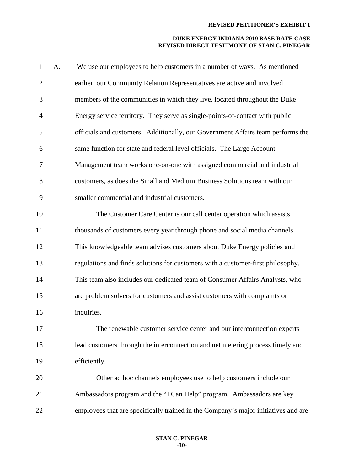| $\mathbf{1}$   | A. | We use our employees to help customers in a number of ways. As mentioned           |
|----------------|----|------------------------------------------------------------------------------------|
| $\overline{2}$ |    | earlier, our Community Relation Representatives are active and involved            |
| 3              |    | members of the communities in which they live, located throughout the Duke         |
| $\overline{4}$ |    | Energy service territory. They serve as single-points-of-contact with public       |
| 5              |    | officials and customers. Additionally, our Government Affairs team performs the    |
| 6              |    | same function for state and federal level officials. The Large Account             |
| 7              |    | Management team works one-on-one with assigned commercial and industrial           |
| 8              |    | customers, as does the Small and Medium Business Solutions team with our           |
| 9              |    | smaller commercial and industrial customers.                                       |
| 10             |    | The Customer Care Center is our call center operation which assists                |
| 11             |    | thousands of customers every year through phone and social media channels.         |
| 12             |    | This knowledgeable team advises customers about Duke Energy policies and           |
| 13             |    | regulations and finds solutions for customers with a customer-first philosophy.    |
| 14             |    | This team also includes our dedicated team of Consumer Affairs Analysts, who       |
| 15             |    | are problem solvers for customers and assist customers with complaints or          |
| 16             |    | inquiries.                                                                         |
| 17             |    | The renewable customer service center and our interconnection experts              |
| 18             |    | lead customers through the interconnection and net metering process timely and     |
| 19             |    | efficiently.                                                                       |
| 20             |    | Other ad hoc channels employees use to help customers include our                  |
| 21             |    | Ambassadors program and the "I Can Help" program. Ambassadors are key              |
| 22             |    | employees that are specifically trained in the Company's major initiatives and are |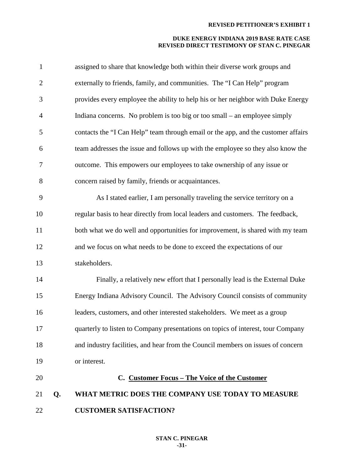| $\mathbf{1}$   |    | assigned to share that knowledge both within their diverse work groups and        |
|----------------|----|-----------------------------------------------------------------------------------|
| $\overline{2}$ |    | externally to friends, family, and communities. The "I Can Help" program          |
| 3              |    | provides every employee the ability to help his or her neighbor with Duke Energy  |
| $\overline{4}$ |    | Indiana concerns. No problem is too big or too small – an employee simply         |
| 5              |    | contacts the "I Can Help" team through email or the app, and the customer affairs |
| 6              |    | team addresses the issue and follows up with the employee so they also know the   |
| 7              |    | outcome. This empowers our employees to take ownership of any issue or            |
| 8              |    | concern raised by family, friends or acquaintances.                               |
| 9              |    | As I stated earlier, I am personally traveling the service territory on a         |
| 10             |    | regular basis to hear directly from local leaders and customers. The feedback,    |
| 11             |    | both what we do well and opportunities for improvement, is shared with my team    |
| 12             |    | and we focus on what needs to be done to exceed the expectations of our           |
| 13             |    | stakeholders.                                                                     |
| 14             |    | Finally, a relatively new effort that I personally lead is the External Duke      |
| 15             |    | Energy Indiana Advisory Council. The Advisory Council consists of community       |
| 16             |    | leaders, customers, and other interested stakeholders. We meet as a group         |
| 17             |    | quarterly to listen to Company presentations on topics of interest, tour Company  |
| 18             |    | and industry facilities, and hear from the Council members on issues of concern   |
| 19             |    | or interest.                                                                      |
| 20             |    | C. Customer Focus - The Voice of the Customer                                     |
| 21             | Q. | WHAT METRIC DOES THE COMPANY USE TODAY TO MEASURE                                 |
| 22             |    | <b>CUSTOMER SATISFACTION?</b>                                                     |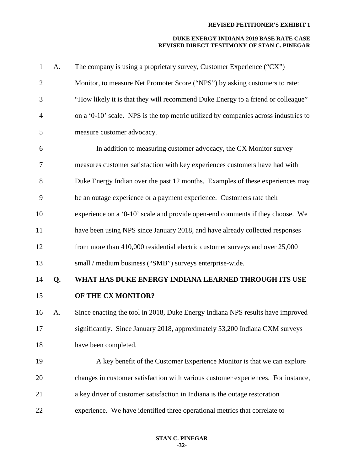| $\mathbf{1}$   | A. | The company is using a proprietary survey, Customer Experience ("CX")               |
|----------------|----|-------------------------------------------------------------------------------------|
| $\overline{2}$ |    | Monitor, to measure Net Promoter Score ("NPS") by asking customers to rate:         |
| 3              |    | "How likely it is that they will recommend Duke Energy to a friend or colleague"    |
| $\overline{4}$ |    | on a '0-10' scale. NPS is the top metric utilized by companies across industries to |
| 5              |    | measure customer advocacy.                                                          |
| 6              |    | In addition to measuring customer advocacy, the CX Monitor survey                   |
| $\tau$         |    | measures customer satisfaction with key experiences customers have had with         |
| 8              |    | Duke Energy Indian over the past 12 months. Examples of these experiences may       |
| 9              |    | be an outage experience or a payment experience. Customers rate their               |
| 10             |    | experience on a '0-10' scale and provide open-end comments if they choose. We       |
| 11             |    | have been using NPS since January 2018, and have already collected responses        |
| 12             |    | from more than 410,000 residential electric customer surveys and over 25,000        |
| 13             |    | small / medium business ("SMB") surveys enterprise-wide.                            |
| 14             | Q. | WHAT HAS DUKE ENERGY INDIANA LEARNED THROUGH ITS USE                                |
| 15             |    | OF THE CX MONITOR?                                                                  |
| 16             | A. | Since enacting the tool in 2018, Duke Energy Indiana NPS results have improved      |
| 17             |    | significantly. Since January 2018, approximately 53,200 Indiana CXM surveys         |
| 18             |    | have been completed.                                                                |
| 19             |    | A key benefit of the Customer Experience Monitor is that we can explore             |
| 20             |    | changes in customer satisfaction with various customer experiences. For instance,   |
| 21             |    | a key driver of customer satisfaction in Indiana is the outage restoration          |
| 22             |    | experience. We have identified three operational metrics that correlate to          |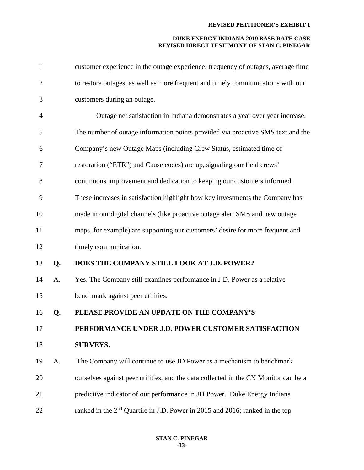| $\mathbf{1}$   |    | customer experience in the outage experience: frequency of outages, average time         |
|----------------|----|------------------------------------------------------------------------------------------|
| $\overline{2}$ |    | to restore outages, as well as more frequent and timely communications with our          |
| 3              |    | customers during an outage.                                                              |
| $\overline{4}$ |    | Outage net satisfaction in Indiana demonstrates a year over year increase.               |
| 5              |    | The number of outage information points provided via proactive SMS text and the          |
| 6              |    | Company's new Outage Maps (including Crew Status, estimated time of                      |
| 7              |    | restoration ("ETR") and Cause codes) are up, signaling our field crews'                  |
| 8              |    | continuous improvement and dedication to keeping our customers informed.                 |
| 9              |    | These increases in satisfaction highlight how key investments the Company has            |
| 10             |    | made in our digital channels (like proactive outage alert SMS and new outage             |
| 11             |    | maps, for example) are supporting our customers' desire for more frequent and            |
| 12             |    | timely communication.                                                                    |
| 13             | Q. | DOES THE COMPANY STILL LOOK AT J.D. POWER?                                               |
| 14             | A. | Yes. The Company still examines performance in J.D. Power as a relative                  |
| 15             |    | benchmark against peer utilities.                                                        |
| 16             | Q. | PLEASE PROVIDE AN UPDATE ON THE COMPANY'S                                                |
| 17             |    | PERFORMANCE UNDER J.D. POWER CUSTOMER SATISFACTION                                       |
| 18             |    | <b>SURVEYS.</b>                                                                          |
| 19             | A. | The Company will continue to use JD Power as a mechanism to benchmark                    |
| 20             |    | ourselves against peer utilities, and the data collected in the CX Monitor can be a      |
| 21             |    | predictive indicator of our performance in JD Power. Duke Energy Indiana                 |
| 22             |    | ranked in the 2 <sup>nd</sup> Quartile in J.D. Power in 2015 and 2016; ranked in the top |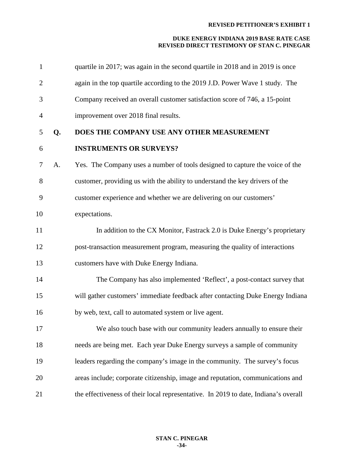| $\mathbf{1}$   |    | quartile in 2017; was again in the second quartile in 2018 and in 2019 is once      |
|----------------|----|-------------------------------------------------------------------------------------|
| $\overline{2}$ |    | again in the top quartile according to the 2019 J.D. Power Wave 1 study. The        |
| 3              |    | Company received an overall customer satisfaction score of 746, a 15-point          |
| $\overline{4}$ |    | improvement over 2018 final results.                                                |
| 5              | Q. | DOES THE COMPANY USE ANY OTHER MEASUREMENT                                          |
| 6              |    | <b>INSTRUMENTS OR SURVEYS?</b>                                                      |
| $\tau$         | A. | Yes. The Company uses a number of tools designed to capture the voice of the        |
| 8              |    | customer, providing us with the ability to understand the key drivers of the        |
| 9              |    | customer experience and whether we are delivering on our customers'                 |
| 10             |    | expectations.                                                                       |
| 11             |    | In addition to the CX Monitor, Fastrack 2.0 is Duke Energy's proprietary            |
| 12             |    | post-transaction measurement program, measuring the quality of interactions         |
| 13             |    | customers have with Duke Energy Indiana.                                            |
| 14             |    | The Company has also implemented 'Reflect', a post-contact survey that              |
| 15             |    | will gather customers' immediate feedback after contacting Duke Energy Indiana      |
| 16             |    | by web, text, call to automated system or live agent.                               |
| 17             |    | We also touch base with our community leaders annually to ensure their              |
| 18             |    | needs are being met. Each year Duke Energy surveys a sample of community            |
| 19             |    | leaders regarding the company's image in the community. The survey's focus          |
| 20             |    | areas include; corporate citizenship, image and reputation, communications and      |
| 21             |    | the effectiveness of their local representative. In 2019 to date, Indiana's overall |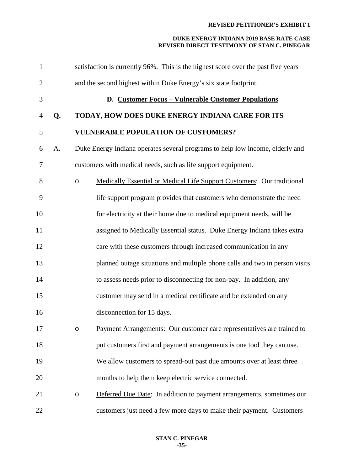| $\mathbf{1}$   |    |         | satisfaction is currently 96%. This is the highest score over the past five years |
|----------------|----|---------|-----------------------------------------------------------------------------------|
| $\overline{2}$ |    |         | and the second highest within Duke Energy's six state footprint.                  |
| 3              |    |         | D. Customer Focus - Vulnerable Customer Populations                               |
| $\overline{4}$ | Q. |         | TODAY, HOW DOES DUKE ENERGY INDIANA CARE FOR ITS                                  |
| 5              |    |         | <b>VULNERABLE POPULATION OF CUSTOMERS?</b>                                        |
| 6              | A. |         | Duke Energy Indiana operates several programs to help low income, elderly and     |
| 7              |    |         | customers with medical needs, such as life support equipment.                     |
| 8              |    | $\circ$ | Medically Essential or Medical Life Support Customers: Our traditional            |
| 9              |    |         | life support program provides that customers who demonstrate the need             |
| 10             |    |         | for electricity at their home due to medical equipment needs, will be             |
| 11             |    |         | assigned to Medically Essential status. Duke Energy Indiana takes extra           |
| 12             |    |         | care with these customers through increased communication in any                  |
| 13             |    |         | planned outage situations and multiple phone calls and two in person visits       |
| 14             |    |         | to assess needs prior to disconnecting for non-pay. In addition, any              |
| 15             |    |         | customer may send in a medical certificate and be extended on any                 |
| 16             |    |         | disconnection for 15 days.                                                        |
| 17             |    |         | Payment Arrangements: Our customer care representatives are trained to            |
| 18             |    |         | put customers first and payment arrangements is one tool they can use.            |
| 19             |    |         | We allow customers to spread-out past due amounts over at least three             |
| 20             |    |         | months to help them keep electric service connected.                              |
| 21             |    | $\circ$ | Deferred Due Date: In addition to payment arrangements, sometimes our             |
| 22             |    |         | customers just need a few more days to make their payment. Customers              |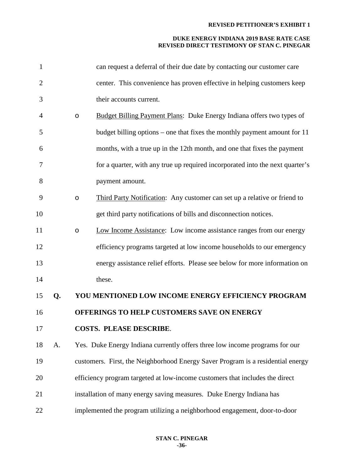| $\mathbf{1}$   |    |         | can request a deferral of their due date by contacting our customer care        |
|----------------|----|---------|---------------------------------------------------------------------------------|
| $\overline{2}$ |    |         | center. This convenience has proven effective in helping customers keep         |
| 3              |    |         | their accounts current.                                                         |
| 4              |    | $\circ$ | <b>Budget Billing Payment Plans:</b> Duke Energy Indiana offers two types of    |
| 5              |    |         | budget billing options – one that fixes the monthly payment amount for 11       |
| 6              |    |         | months, with a true up in the 12th month, and one that fixes the payment        |
| 7              |    |         | for a quarter, with any true up required incorporated into the next quarter's   |
| 8              |    |         | payment amount.                                                                 |
| 9              |    | $\circ$ | Third Party Notification: Any customer can set up a relative or friend to       |
| 10             |    |         | get third party notifications of bills and disconnection notices.               |
| 11             |    | O       | Low Income Assistance: Low income assistance ranges from our energy             |
| 12             |    |         | efficiency programs targeted at low income households to our emergency          |
| 13             |    |         | energy assistance relief efforts. Please see below for more information on      |
| 14             |    |         | these.                                                                          |
| 15             | Q. |         | YOU MENTIONED LOW INCOME ENERGY EFFICIENCY PROGRAM                              |
| 16             |    |         | OFFERINGS TO HELP CUSTOMERS SAVE ON ENERGY                                      |
| 17             |    |         | <b>COSTS. PLEASE DESCRIBE.</b>                                                  |
| 18             | A. |         | Yes. Duke Energy Indiana currently offers three low income programs for our     |
| 19             |    |         | customers. First, the Neighborhood Energy Saver Program is a residential energy |
| 20             |    |         | efficiency program targeted at low-income customers that includes the direct    |
| 21             |    |         | installation of many energy saving measures. Duke Energy Indiana has            |
| 22             |    |         | implemented the program utilizing a neighborhood engagement, door-to-door       |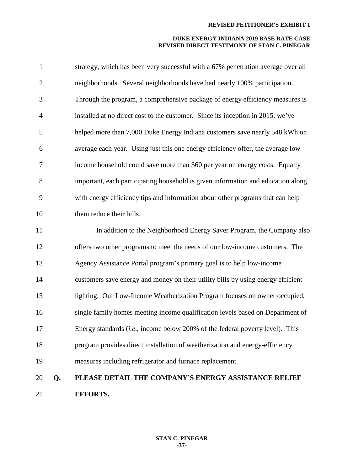| $\mathbf{1}$   |    | strategy, which has been very successful with a 67% penetration average over all |
|----------------|----|----------------------------------------------------------------------------------|
| $\overline{2}$ |    | neighborhoods. Several neighborhoods have had nearly 100% participation.         |
| 3              |    | Through the program, a comprehensive package of energy efficiency measures is    |
| $\overline{4}$ |    | installed at no direct cost to the customer. Since its inception in 2015, we've  |
| 5              |    | helped more than 7,000 Duke Energy Indiana customers save nearly 548 kWh on      |
| 6              |    | average each year. Using just this one energy efficiency offer, the average low  |
| 7              |    | income household could save more than \$60 per year on energy costs. Equally     |
| 8              |    | important, each participating household is given information and education along |
| 9              |    | with energy efficiency tips and information about other programs that can help   |
| 10             |    | them reduce their bills.                                                         |
| 11             |    | In addition to the Neighborhood Energy Saver Program, the Company also           |
| 12             |    | offers two other programs to meet the needs of our low-income customers. The     |
| 13             |    | Agency Assistance Portal program's primary goal is to help low-income            |
| 14             |    | customers save energy and money on their utility bills by using energy efficient |
| 15             |    | lighting. Our Low-Income Weatherization Program focuses on owner occupied,       |
| 16             |    | single family homes meeting income qualification levels based on Department of   |
| 17             |    | Energy standards (i.e., income below 200% of the federal poverty level). This    |
| 18             |    | program provides direct installation of weatherization and energy-efficiency     |
| 19             |    | measures including refrigerator and furnace replacement.                         |
| 20             | Q. | PLEASE DETAIL THE COMPANY'S ENERGY ASSISTANCE RELIEF                             |
| 21             |    | <b>EFFORTS.</b>                                                                  |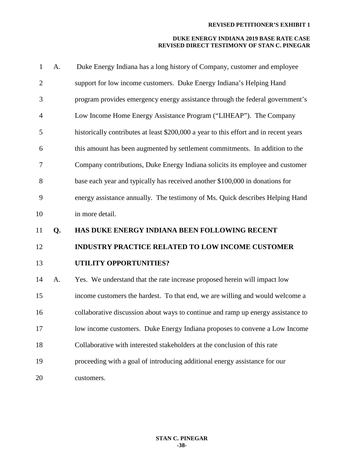| $\mathbf{1}$   | A. | Duke Energy Indiana has a long history of Company, customer and employee              |
|----------------|----|---------------------------------------------------------------------------------------|
| $\overline{2}$ |    | support for low income customers. Duke Energy Indiana's Helping Hand                  |
| 3              |    | program provides emergency energy assistance through the federal government's         |
| $\overline{4}$ |    | Low Income Home Energy Assistance Program ("LIHEAP"). The Company                     |
| 5              |    | historically contributes at least \$200,000 a year to this effort and in recent years |
| 6              |    | this amount has been augmented by settlement commitments. In addition to the          |
| 7              |    | Company contributions, Duke Energy Indiana solicits its employee and customer         |
| 8              |    | base each year and typically has received another \$100,000 in donations for          |
| 9              |    | energy assistance annually. The testimony of Ms. Quick describes Helping Hand         |
| 10             |    | in more detail.                                                                       |
|                |    |                                                                                       |
| 11             | Q. | HAS DUKE ENERGY INDIANA BEEN FOLLOWING RECENT                                         |
| 12             |    | <b>INDUSTRY PRACTICE RELATED TO LOW INCOME CUSTOMER</b>                               |
| 13             |    | UTILITY OPPORTUNITIES?                                                                |
| 14             | A. | Yes. We understand that the rate increase proposed herein will impact low             |
| 15             |    | income customers the hardest. To that end, we are willing and would welcome a         |
| 16             |    | collaborative discussion about ways to continue and ramp up energy assistance to      |
| 17             |    | low income customers. Duke Energy Indiana proposes to convene a Low Income            |
| 18             |    | Collaborative with interested stakeholders at the conclusion of this rate             |
| 19             |    | proceeding with a goal of introducing additional energy assistance for our            |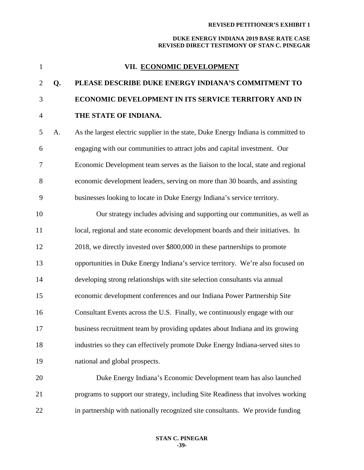| $\mathbf{1}$   |    | VII. ECONOMIC DEVELOPMENT                                                          |
|----------------|----|------------------------------------------------------------------------------------|
| $\overline{2}$ | Q. | PLEASE DESCRIBE DUKE ENERGY INDIANA'S COMMITMENT TO                                |
| 3              |    | ECONOMIC DEVELOPMENT IN ITS SERVICE TERRITORY AND IN                               |
| $\overline{4}$ |    | THE STATE OF INDIANA.                                                              |
| 5              | A. | As the largest electric supplier in the state, Duke Energy Indiana is committed to |
| 6              |    | engaging with our communities to attract jobs and capital investment. Our          |
| 7              |    | Economic Development team serves as the liaison to the local, state and regional   |
| 8              |    | economic development leaders, serving on more than 30 boards, and assisting        |
| 9              |    | businesses looking to locate in Duke Energy Indiana's service territory.           |
| 10             |    | Our strategy includes advising and supporting our communities, as well as          |
| 11             |    | local, regional and state economic development boards and their initiatives. In    |
| 12             |    | 2018, we directly invested over \$800,000 in these partnerships to promote         |
| 13             |    | opportunities in Duke Energy Indiana's service territory. We're also focused on    |
| 14             |    | developing strong relationships with site selection consultants via annual         |
| 15             |    | economic development conferences and our Indiana Power Partnership Site            |
| 16             |    | Consultant Events across the U.S. Finally, we continuously engage with our         |
| 17             |    | business recruitment team by providing updates about Indiana and its growing       |
| 18             |    | industries so they can effectively promote Duke Energy Indiana-served sites to     |
| 19             |    | national and global prospects.                                                     |
| 20             |    | Duke Energy Indiana's Economic Development team has also launched                  |
| 21             |    | programs to support our strategy, including Site Readiness that involves working   |
| 22             |    | in partnership with nationally recognized site consultants. We provide funding     |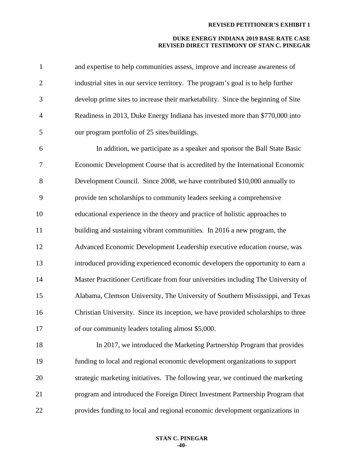| $\mathbf{1}$   | and expertise to help communities assess, improve and increase awareness of        |
|----------------|------------------------------------------------------------------------------------|
| $\overline{2}$ | industrial sites in our service territory. The program's goal is to help further   |
| 3              | develop prime sites to increase their marketability. Since the beginning of Site   |
| $\overline{4}$ | Readiness in 2013, Duke Energy Indiana has invested more than \$770,000 into       |
| 5              | our program portfolio of 25 sites/buildings.                                       |
| 6              | In addition, we participate as a speaker and sponsor the Ball State Basic          |
| $\tau$         | Economic Development Course that is accredited by the International Economic       |
| 8              | Development Council. Since 2008, we have contributed \$10,000 annually to          |
| 9              | provide ten scholarships to community leaders seeking a comprehensive              |
| 10             | educational experience in the theory and practice of holistic approaches to        |
| 11             | building and sustaining vibrant communities. In 2016 a new program, the            |
| 12             | Advanced Economic Development Leadership executive education course, was           |
| 13             | introduced providing experienced economic developers the opportunity to earn a     |
| 14             | Master Practitioner Certificate from four universities including The University of |
| 15             | Alabama, Clemson University, The University of Southern Mississippi, and Texas     |
| 16             | Christian University. Since its inception, we have provided scholarships to three  |
| 17             | of our community leaders totaling almost \$5,000.                                  |
| 18             | In 2017, we introduced the Marketing Partnership Program that provides             |
| 19             | funding to local and regional economic development organizations to support        |
| 20             | strategic marketing initiatives. The following year, we continued the marketing    |
| 21             | program and introduced the Foreign Direct Investment Partnership Program that      |
| 22             | provides funding to local and regional economic development organizations in       |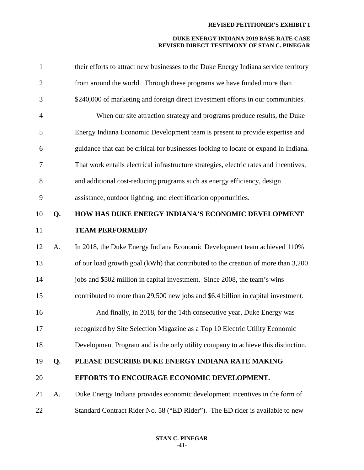| $\mathbf{1}$   |    | their efforts to attract new businesses to the Duke Energy Indiana service territory   |
|----------------|----|----------------------------------------------------------------------------------------|
| $\overline{2}$ |    | from around the world. Through these programs we have funded more than                 |
| 3              |    | \$240,000 of marketing and foreign direct investment efforts in our communities.       |
| $\overline{4}$ |    | When our site attraction strategy and programs produce results, the Duke               |
| 5              |    | Energy Indiana Economic Development team is present to provide expertise and           |
| 6              |    | guidance that can be critical for businesses looking to locate or expand in Indiana.   |
| $\tau$         |    | That work entails electrical infrastructure strategies, electric rates and incentives, |
| 8              |    | and additional cost-reducing programs such as energy efficiency, design                |
| 9              |    | assistance, outdoor lighting, and electrification opportunities.                       |
| 10             | Q. | HOW HAS DUKE ENERGY INDIANA'S ECONOMIC DEVELOPMENT                                     |
| 11             |    | <b>TEAM PERFORMED?</b>                                                                 |
| 12             | A. | In 2018, the Duke Energy Indiana Economic Development team achieved 110%               |
| 13             |    | of our load growth goal (kWh) that contributed to the creation of more than 3,200      |
| 14             |    | jobs and \$502 million in capital investment. Since 2008, the team's wins              |
| 15             |    | contributed to more than 29,500 new jobs and \$6.4 billion in capital investment.      |
| 16             |    | And finally, in 2018, for the 14th consecutive year, Duke Energy was                   |
| 17             |    | recognized by Site Selection Magazine as a Top 10 Electric Utility Economic            |
| 18             |    | Development Program and is the only utility company to achieve this distinction.       |
| 19             | Q. | PLEASE DESCRIBE DUKE ENERGY INDIANA RATE MAKING                                        |
| 20             |    | EFFORTS TO ENCOURAGE ECONOMIC DEVELOPMENT.                                             |
| 21             | A. | Duke Energy Indiana provides economic development incentives in the form of            |
| 22             |    | Standard Contract Rider No. 58 ("ED Rider"). The ED rider is available to new          |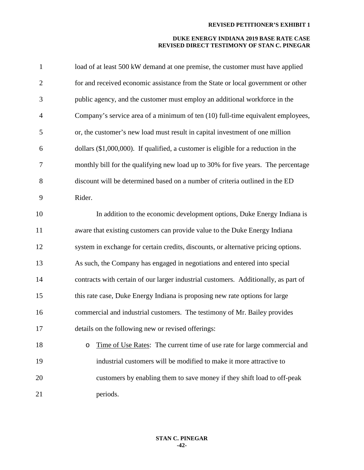| $\mathbf{1}$   | load of at least 500 kW demand at one premise, the customer must have applied       |
|----------------|-------------------------------------------------------------------------------------|
| $\overline{2}$ | for and received economic assistance from the State or local government or other    |
| 3              | public agency, and the customer must employ an additional workforce in the          |
| $\overline{4}$ | Company's service area of a minimum of ten (10) full-time equivalent employees,     |
| 5              | or, the customer's new load must result in capital investment of one million        |
| 6              | dollars (\$1,000,000). If qualified, a customer is eligible for a reduction in the  |
| 7              | monthly bill for the qualifying new load up to 30% for five years. The percentage   |
| 8              | discount will be determined based on a number of criteria outlined in the ED        |
| 9              | Rider.                                                                              |
| 10             | In addition to the economic development options, Duke Energy Indiana is             |
| 11             | aware that existing customers can provide value to the Duke Energy Indiana          |
| 12             | system in exchange for certain credits, discounts, or alternative pricing options.  |
| 13             | As such, the Company has engaged in negotiations and entered into special           |
| 14             | contracts with certain of our larger industrial customers. Additionally, as part of |
| 15             | this rate case, Duke Energy Indiana is proposing new rate options for large         |
| 16             | commercial and industrial customers. The testimony of Mr. Bailey provides           |
| 17             | details on the following new or revised offerings:                                  |
| 18             | Time of Use Rates: The current time of use rate for large commercial and<br>O       |
| 19             | industrial customers will be modified to make it more attractive to                 |
| 20             | customers by enabling them to save money if they shift load to off-peak             |
| 21             | periods.                                                                            |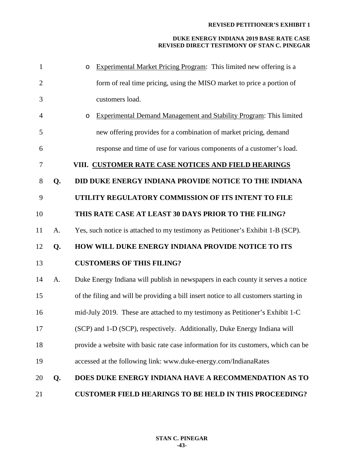| 1              |    | <b>Experimental Market Pricing Program:</b> This limited new offering is a<br>$\circ$ |
|----------------|----|---------------------------------------------------------------------------------------|
| $\overline{2}$ |    | form of real time pricing, using the MISO market to price a portion of                |
| 3              |    | customers load.                                                                       |
| 4              |    | <b>Experimental Demand Management and Stability Program: This limited</b><br>$\circ$  |
| 5              |    | new offering provides for a combination of market pricing, demand                     |
| 6              |    | response and time of use for various components of a customer's load.                 |
| 7              |    | VIII. CUSTOMER RATE CASE NOTICES AND FIELD HEARINGS                                   |
| 8              | Q. | DID DUKE ENERGY INDIANA PROVIDE NOTICE TO THE INDIANA                                 |
| 9              |    | UTILITY REGULATORY COMMISSION OF ITS INTENT TO FILE                                   |
| 10             |    | THIS RATE CASE AT LEAST 30 DAYS PRIOR TO THE FILING?                                  |
| 11             | A. | Yes, such notice is attached to my testimony as Petitioner's Exhibit 1-B (SCP).       |
| 12             | Q. | HOW WILL DUKE ENERGY INDIANA PROVIDE NOTICE TO ITS                                    |
| 13             |    | <b>CUSTOMERS OF THIS FILING?</b>                                                      |
| 14             | A. | Duke Energy Indiana will publish in newspapers in each county it serves a notice      |
| 15             |    | of the filing and will be providing a bill insert notice to all customers starting in |
| 16             |    | mid-July 2019. These are attached to my testimony as Petitioner's Exhibit 1-C         |
| 17             |    | (SCP) and 1-D (SCP), respectively. Additionally, Duke Energy Indiana will             |
| 18             |    | provide a website with basic rate case information for its customers, which can be    |
| 19             |    | accessed at the following link: www.duke-energy.com/IndianaRates                      |
| 20             | Q. | DOES DUKE ENERGY INDIANA HAVE A RECOMMENDATION AS TO                                  |
| 21             |    | <b>CUSTOMER FIELD HEARINGS TO BE HELD IN THIS PROCEEDING?</b>                         |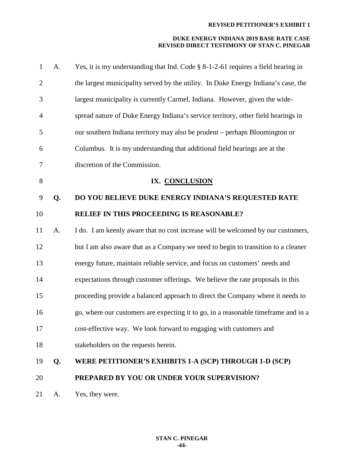| $\mathbf{1}$   | A. | Yes, it is my understanding that Ind. Code $\S$ 8-1-2-61 requires a field hearing in |
|----------------|----|--------------------------------------------------------------------------------------|
| $\overline{2}$ |    | the largest municipality served by the utility. In Duke Energy Indiana's case, the   |
| 3              |    | largest municipality is currently Carmel, Indiana. However, given the wide-          |
| $\overline{4}$ |    | spread nature of Duke Energy Indiana's service territory, other field hearings in    |
| 5              |    | our southern Indiana territory may also be prudent – perhaps Bloomington or          |
| 6              |    | Columbus. It is my understanding that additional field hearings are at the           |
| 7              |    | discretion of the Commission.                                                        |
| $8\,$          |    | IX. CONCLUSION                                                                       |
| 9              | Q. | DO YOU BELIEVE DUKE ENERGY INDIANA'S REQUESTED RATE                                  |
| 10             |    | RELIEF IN THIS PROCEEDING IS REASONABLE?                                             |
| 11             | A. | I do. I am keenly aware that no cost increase will be welcomed by our customers,     |
| 12             |    | but I am also aware that as a Company we need to begin to transition to a cleaner    |
| 13             |    | energy future, maintain reliable service, and focus on customers' needs and          |
| 14             |    | expectations through customer offerings. We believe the rate proposals in this       |
| 15             |    | proceeding provide a balanced approach to direct the Company where it needs to       |
| 16             |    | go, where our customers are expecting it to go, in a reasonable timeframe and in a   |
| 17             |    | cost-effective way. We look forward to engaging with customers and                   |
| 18             |    | stakeholders on the requests herein.                                                 |
| 19             | Q. | WERE PETITIONER'S EXHIBITS 1-A (SCP) THROUGH 1-D (SCP)                               |
| 20             |    | PREPARED BY YOU OR UNDER YOUR SUPERVISION?                                           |
| 21             | A. | Yes, they were.                                                                      |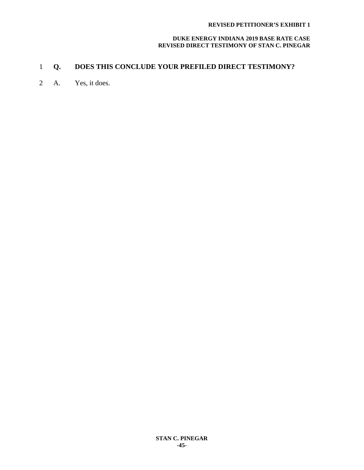#### **DUKE ENERGY INDIANA 2019 BASE RATE CASE REVISED DIRECT TESTIMONY OF STAN C. PINEGAR**

# 1 **Q. DOES THIS CONCLUDE YOUR PREFILED DIRECT TESTIMONY?**

2 A. Yes, it does.